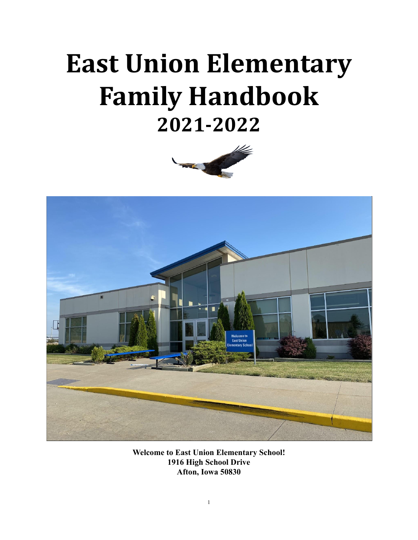# **East Union Elementary Family Handbook 2021-2022**





**Welcome to East Union Elementary School! 1916 High School Drive Afton, Iowa 50830**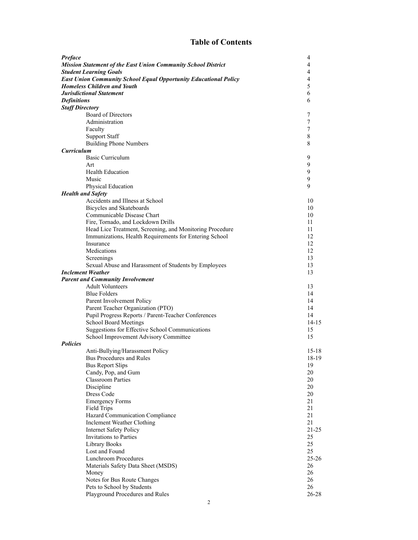### **Table of Contents**

| Preface                |                                                                      | 4         |
|------------------------|----------------------------------------------------------------------|-----------|
|                        | <b>Mission Statement of the East Union Community School District</b> | 4         |
|                        | <b>Student Learning Goals</b>                                        | 4         |
|                        | East Union Community School Equal Opportunity Educational Policy     | 4         |
|                        | <b>Homeless Children and Youth</b>                                   | 5         |
|                        | <b>Jurisdictional Statement</b>                                      | 6         |
| <b>Definitions</b>     |                                                                      | 6         |
| <b>Staff Directory</b> |                                                                      |           |
|                        | <b>Board of Directors</b>                                            | 7         |
|                        |                                                                      |           |
|                        | Administration                                                       | 7         |
|                        | Faculty                                                              | 7         |
|                        | <b>Support Staff</b>                                                 | 8         |
|                        | <b>Building Phone Numbers</b>                                        | 8         |
| <b>Curriculum</b>      |                                                                      |           |
|                        | <b>Basic Curriculum</b>                                              | 9         |
|                        | Art                                                                  | 9         |
|                        | <b>Health Education</b>                                              | 9         |
|                        | Music                                                                | 9         |
|                        |                                                                      | 9         |
|                        | Physical Education                                                   |           |
|                        | <b>Health and Safety</b>                                             |           |
|                        | Accidents and Illness at School                                      | 10        |
|                        | Bicycles and Skateboards                                             | 10        |
|                        | Communicable Disease Chart                                           | 10        |
|                        | Fire, Tornado, and Lockdown Drills                                   | 11        |
|                        | Head Lice Treatment, Screening, and Monitoring Procedure             | 11        |
|                        | Immunizations, Health Requirements for Entering School               | 12        |
|                        | Insurance                                                            | 12        |
|                        | Medications                                                          | 12        |
|                        | Screenings                                                           | 13        |
|                        | Sexual Abuse and Harassment of Students by Employees                 | 13        |
|                        | <b>Inclement Weather</b>                                             | 13        |
|                        |                                                                      |           |
|                        | <b>Parent and Community Involvement</b>                              |           |
|                        | <b>Adult Volunteers</b>                                              | 13        |
|                        | <b>Blue Folders</b>                                                  | 14        |
|                        | Parent Involvement Policy                                            | 14        |
|                        | Parent Teacher Organization (PTO)                                    | 14        |
|                        | Pupil Progress Reports / Parent-Teacher Conferences                  | 14        |
|                        | <b>School Board Meetings</b>                                         | 14-15     |
|                        | Suggestions for Effective School Communications                      | 15        |
|                        | School Improvement Advisory Committee                                | 15        |
| <b>Policies</b>        |                                                                      |           |
|                        | Anti-Bullying/Harassment Policy                                      | 15-18     |
|                        | Bus Procedures and Rules                                             | 18-19     |
|                        | <b>Bus Report Slips</b>                                              |           |
|                        |                                                                      | 19<br>20  |
|                        | Candy, Pop, and Gum                                                  |           |
|                        | <b>Classroom Parties</b>                                             | 20        |
|                        | Discipline                                                           | 20        |
|                        | Dress Code                                                           | 20        |
|                        | <b>Emergency Forms</b>                                               | 21        |
|                        | <b>Field Trips</b>                                                   | 21        |
|                        | Hazard Communication Compliance                                      | 21        |
|                        | Inclement Weather Clothing                                           | 21        |
|                        | <b>Internet Safety Policy</b>                                        | $21 - 25$ |
|                        | Invitations to Parties                                               | 25        |
|                        | Library Books                                                        | 25        |
|                        | Lost and Found                                                       | 25        |
|                        | <b>Lunchroom Procedures</b>                                          | $25 - 26$ |
|                        | Materials Safety Data Sheet (MSDS)                                   | 26        |
|                        |                                                                      |           |
|                        | Money                                                                | 26        |
|                        | Notes for Bus Route Changes                                          | 26        |
|                        | Pets to School by Students                                           | 26        |
|                        | Playground Procedures and Rules                                      | 26-28     |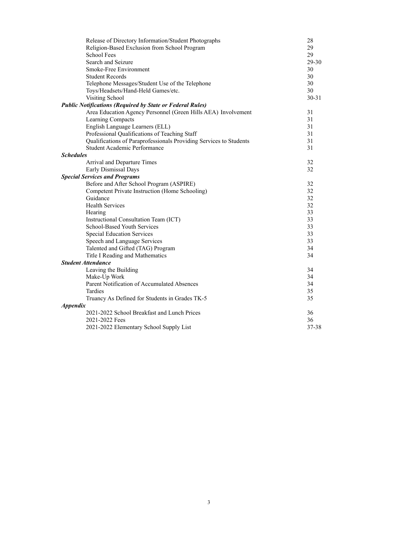| Release of Directory Information/Student Photographs               | 28        |
|--------------------------------------------------------------------|-----------|
| Religion-Based Exclusion from School Program                       | 29        |
| <b>School Fees</b>                                                 | 29        |
| Search and Seizure                                                 | 29-30     |
| Smoke-Free Environment                                             | 30        |
| <b>Student Records</b>                                             | 30        |
| Telephone Messages/Student Use of the Telephone                    | 30        |
| Toys/Headsets/Hand-Held Games/etc.                                 | 30        |
| Visiting School                                                    | $30 - 31$ |
| <b>Public Notifications (Required by State or Federal Rules)</b>   |           |
| Area Education Agency Personnel (Green Hills AEA) Involvement      | 31        |
| Learning Compacts                                                  | 31        |
| English Language Learners (ELL)                                    | 31        |
| Professional Qualifications of Teaching Staff                      | 31        |
| Qualifications of Paraprofessionals Providing Services to Students | 31        |
| Student Academic Performance                                       | 31        |
| <b>Schedules</b>                                                   |           |
| Arrival and Departure Times                                        | 32        |
| Early Dismissal Days                                               | 32        |
| <b>Special Services and Programs</b>                               |           |
| Before and After School Program (ASPIRE)                           | 32        |
| Competent Private Instruction (Home Schooling)                     | 32        |
| Guidance                                                           | 32        |
| <b>Health Services</b>                                             | 32        |
| Hearing                                                            | 33        |
| Instructional Consultation Team (ICT)                              | 33        |
| <b>School-Based Youth Services</b>                                 | 33        |
| <b>Special Education Services</b>                                  | 33        |
| Speech and Language Services                                       | 33        |
| Talented and Gifted (TAG) Program                                  | 34        |
| Title I Reading and Mathematics                                    | 34        |
| <b>Student Attendance</b>                                          |           |
| Leaving the Building                                               | 34        |
| Make-Up Work                                                       | 34        |
| Parent Notification of Accumulated Absences                        | 34        |
| <b>Tardies</b>                                                     | 35        |
| Truancy As Defined for Students in Grades TK-5                     | 35        |
| <b>Appendix</b>                                                    |           |
| 2021-2022 School Breakfast and Lunch Prices                        | 36        |
| 2021-2022 Fees                                                     | 36        |
| 2021-2022 Elementary School Supply List                            | 37-38     |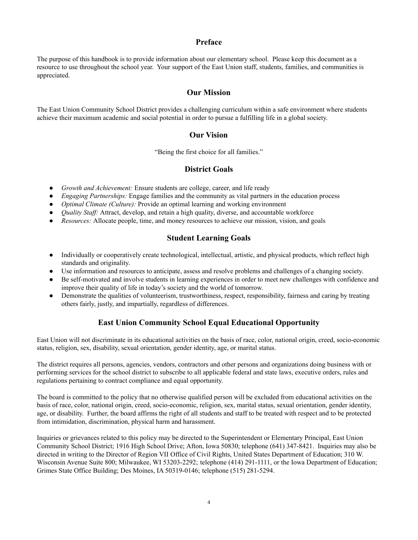#### **Preface**

The purpose of this handbook is to provide information about our elementary school. Please keep this document as a resource to use throughout the school year. Your support of the East Union staff, students, families, and communities is appreciated.

#### **Our Mission**

The East Union Community School District provides a challenging curriculum within a safe environment where students achieve their maximum academic and social potential in order to pursue a fulfilling life in a global society.

#### **Our Vision**

"Being the first choice for all families."

#### **District Goals**

- *● Growth and Achievement:* Ensure students are college, career, and life ready
- *● Engaging Partnerships:* Engage families and the community as vital partners in the education process
- *● Optimal Climate (Culture):* Provide an optimal learning and working environment
- *Quality Staff:* Attract, develop, and retain a high quality, diverse, and accountable workforce
- *● Resources:* Allocate people, time, and money resources to achieve our mission, vision, and goals

#### **Student Learning Goals**

- Individually or cooperatively create technological, intellectual, artistic, and physical products, which reflect high standards and originality.
- Use information and resources to anticipate, assess and resolve problems and challenges of a changing society.
- Be self-motivated and involve students in learning experiences in order to meet new challenges with confidence and improve their quality of life in today's society and the world of tomorrow.
- Demonstrate the qualities of volunteerism, trustworthiness, respect, responsibility, fairness and caring by treating others fairly, justly, and impartially, regardless of differences.

#### **East Union Community School Equal Educational Opportunity**

East Union will not discriminate in its educational activities on the basis of race, color, national origin, creed, socio-economic status, religion, sex, disability, sexual orientation, gender identity, age, or marital status.

The district requires all persons, agencies, vendors, contractors and other persons and organizations doing business with or performing services for the school district to subscribe to all applicable federal and state laws, executive orders, rules and regulations pertaining to contract compliance and equal opportunity.

The board is committed to the policy that no otherwise qualified person will be excluded from educational activities on the basis of race, color, national origin, creed, socio-economic, religion, sex, marital status, sexual orientation, gender identity, age, or disability. Further, the board affirms the right of all students and staff to be treated with respect and to be protected from intimidation, discrimination, physical harm and harassment.

Inquiries or grievances related to this policy may be directed to the Superintendent or Elementary Principal, East Union Community School District; 1916 High School Drive; Afton, Iowa 50830; telephone (641) 347-8421. Inquiries may also be directed in writing to the Director of Region VII Office of Civil Rights, United States Department of Education; 310 W. Wisconsin Avenue Suite 800; Milwaukee, WI 53203-2292; telephone (414) 291-1111, or the Iowa Department of Education; Grimes State Office Building; Des Moines, IA 50319-0146; telephone (515) 281-5294.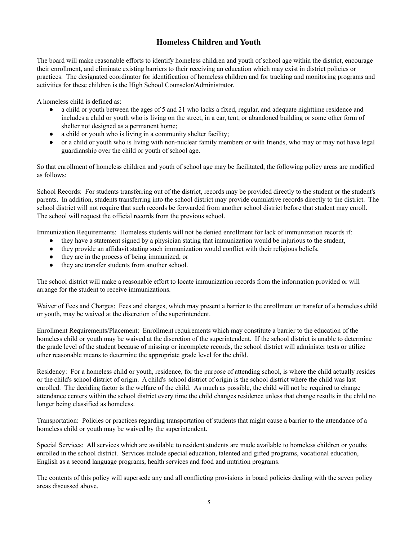#### **Homeless Children and Youth**

The board will make reasonable efforts to identify homeless children and youth of school age within the district, encourage their enrollment, and eliminate existing barriers to their receiving an education which may exist in district policies or practices. The designated coordinator for identification of homeless children and for tracking and monitoring programs and activities for these children is the High School Counselor/Administrator.

A homeless child is defined as:

- a child or youth between the ages of 5 and 21 who lacks a fixed, regular, and adequate nighttime residence and includes a child or youth who is living on the street, in a car, tent, or abandoned building or some other form of shelter not designed as a permanent home;
- a child or youth who is living in a community shelter facility;
- or a child or youth who is living with non-nuclear family members or with friends, who may or may not have legal guardianship over the child or youth of school age.

So that enrollment of homeless children and youth of school age may be facilitated, the following policy areas are modified as follows:

School Records: For students transferring out of the district, records may be provided directly to the student or the student's parents. In addition, students transferring into the school district may provide cumulative records directly to the district. The school district will not require that such records be forwarded from another school district before that student may enroll. The school will request the official records from the previous school.

Immunization Requirements: Homeless students will not be denied enrollment for lack of immunization records if:

- they have a statement signed by a physician stating that immunization would be injurious to the student,
- they provide an affidavit stating such immunization would conflict with their religious beliefs,
- they are in the process of being immunized, or
- they are transfer students from another school.

The school district will make a reasonable effort to locate immunization records from the information provided or will arrange for the student to receive immunizations.

Waiver of Fees and Charges: Fees and charges, which may present a barrier to the enrollment or transfer of a homeless child or youth, may be waived at the discretion of the superintendent.

Enrollment Requirements/Placement: Enrollment requirements which may constitute a barrier to the education of the homeless child or youth may be waived at the discretion of the superintendent. If the school district is unable to determine the grade level of the student because of missing or incomplete records, the school district will administer tests or utilize other reasonable means to determine the appropriate grade level for the child.

Residency: For a homeless child or youth, residence, for the purpose of attending school, is where the child actually resides or the child's school district of origin. A child's school district of origin is the school district where the child was last enrolled. The deciding factor is the welfare of the child. As much as possible, the child will not be required to change attendance centers within the school district every time the child changes residence unless that change results in the child no longer being classified as homeless.

Transportation: Policies or practices regarding transportation of students that might cause a barrier to the attendance of a homeless child or youth may be waived by the superintendent.

Special Services: All services which are available to resident students are made available to homeless children or youths enrolled in the school district. Services include special education, talented and gifted programs, vocational education, English as a second language programs, health services and food and nutrition programs.

The contents of this policy will supersede any and all conflicting provisions in board policies dealing with the seven policy areas discussed above.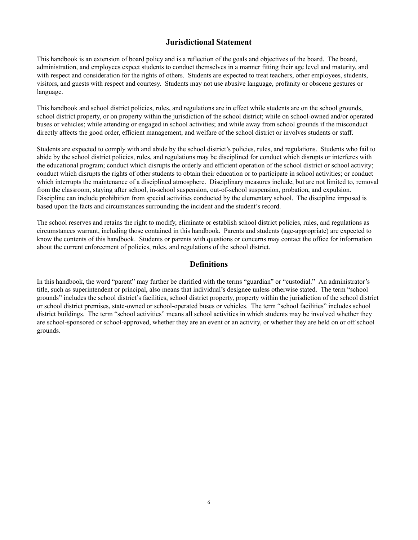#### **Jurisdictional Statement**

This handbook is an extension of board policy and is a reflection of the goals and objectives of the board. The board, administration, and employees expect students to conduct themselves in a manner fitting their age level and maturity, and with respect and consideration for the rights of others. Students are expected to treat teachers, other employees, students, visitors, and guests with respect and courtesy. Students may not use abusive language, profanity or obscene gestures or language.

This handbook and school district policies, rules, and regulations are in effect while students are on the school grounds, school district property, or on property within the jurisdiction of the school district; while on school-owned and/or operated buses or vehicles; while attending or engaged in school activities; and while away from school grounds if the misconduct directly affects the good order, efficient management, and welfare of the school district or involves students or staff.

Students are expected to comply with and abide by the school district's policies, rules, and regulations. Students who fail to abide by the school district policies, rules, and regulations may be disciplined for conduct which disrupts or interferes with the educational program; conduct which disrupts the orderly and efficient operation of the school district or school activity; conduct which disrupts the rights of other students to obtain their education or to participate in school activities; or conduct which interrupts the maintenance of a disciplined atmosphere. Disciplinary measures include, but are not limited to, removal from the classroom, staying after school, in-school suspension, out-of-school suspension, probation, and expulsion. Discipline can include prohibition from special activities conducted by the elementary school. The discipline imposed is based upon the facts and circumstances surrounding the incident and the student's record.

The school reserves and retains the right to modify, eliminate or establish school district policies, rules, and regulations as circumstances warrant, including those contained in this handbook. Parents and students (age-appropriate) are expected to know the contents of this handbook. Students or parents with questions or concerns may contact the office for information about the current enforcement of policies, rules, and regulations of the school district.

#### **Definitions**

In this handbook, the word "parent" may further be clarified with the terms "guardian" or "custodial." An administrator's title, such as superintendent or principal, also means that individual's designee unless otherwise stated. The term "school grounds" includes the school district's facilities, school district property, property within the jurisdiction of the school district or school district premises, state-owned or school-operated buses or vehicles. The term "school facilities" includes school district buildings. The term "school activities" means all school activities in which students may be involved whether they are school-sponsored or school-approved, whether they are an event or an activity, or whether they are held on or off school grounds.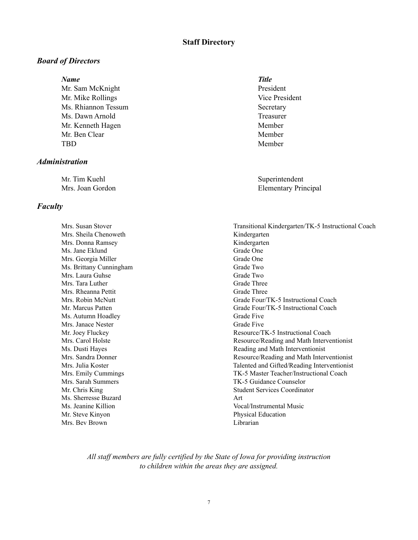#### **Staff Directory**

#### *Board of Directors*

#### *Name Title*

Mr. Sam McKnight President Mr. Mike Rollings Vice President Ms. Rhiannon Tessum Secretary Ms. Dawn Arnold Treasurer Mr. Kenneth Hagen Member Mr. Ben Clear Member TBD Member

#### *Administration*

Mr. Tim Kuehl Superintendent

#### *Faculty*

Mrs. Sheila Chenoweth Kindergarten Mrs. Donna Ramsey Kindergarten Ms. Jane Eklund Grade One Mrs. Georgia Miller Grade One Ms. Brittany Cunningham Grade Two Mrs. Laura Guhse Grade Two Mrs. Tara Luther Grade Three Mrs. Rheanna Pettit Grade Three Ms. Autumn Hoadley Grade Five Mrs. Janace Nester Grade Five Ms. Sherresse Buzard **Art** Mr. Steve Kinyon Physical Education Mrs. Bev Brown Librarian

Mrs. Joan Gordon Elementary Principal

Mrs. Susan Stover Transitional Kindergarten/TK-5 Instructional Coach Mrs. Robin McNutt Grade Four/TK-5 Instructional Coach Mr. Marcus Patten **Grade Four/TK-5** Instructional Coach Mr. Joey Fluckey **Resource**/TK-5 Instructional Coach Mrs. Carol Holste Resource/Reading and Math Interventionist Ms. Dusti Hayes **Reading and Math Interventionist** Reading and Math Interventionist Mrs. Sandra Donner Resource/Reading and Math Interventionist Mrs. Julia Koster Talented and Gifted/Reading Interventionist Mrs. Emily Cummings TK-5 Master Teacher/Instructional Coach Mrs. Sarah Summers TK-5 Guidance Counselor Mr. Chris King Student Services Coordinator Ms. Jeanine Killion Vocal/Instrumental Music

*All staf members are fully certified by the State of Iowa for providing instruction to children within the areas they are assigned.*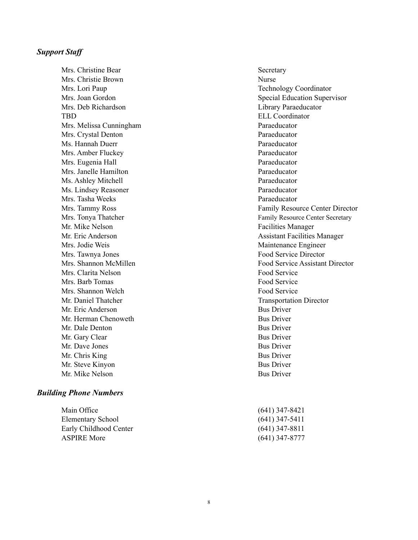#### *Support Staff*

Mrs. Christine Bear Secretary Mrs. Christie Brown Nurse Mrs. Lori Paup Technology Coordinator Mrs. Deb Richardson Library Paraeducator TBD ELL Coordinator Mrs. Melissa Cunningham Paraeducator Mrs. Crystal Denton Paraeducator Ms. Hannah Duerr Paraeducator Mrs. Amber Fluckey **Paraeducator** Paraeducator Mrs. Eugenia Hall **Paraeducator** Paraeducator Mrs. Janelle Hamilton Paraeducator Ms. Ashley Mitchell Paraeducator Ms. Lindsey Reasoner Paraeducator Mrs. Tasha Weeks Paraeducator Mr. Mike Nelson Facilities Manager Mrs. Jodie Weis **Maintenance Engineer** Mrs. Tawnya Jones Food Service Director Mrs. Clarita Nelson **Food Service** Food Service Mrs. Barb Tomas Food Service Mrs. Shannon Welch Food Service Mr. Daniel Thatcher Transportation Director Mr. Eric Anderson Bus Driver Mr. Herman Chenoweth Bus Driver Mr. Dale Denton Bus Driver Mr. Gary Clear Bus Driver Mr. Dave Jones Bus Driver Mr. Chris King Bus Driver Mr. Steve Kinyon Bus Driver Mr. Mike Nelson Bus Driver

#### *Building Phone Numbers*

| $(641)$ 347-5411 |
|------------------|
| $(641)$ 347-8811 |
| $(641)$ 347-8777 |
|                  |

Mrs. Joan Gordon Supervisor Special Education Supervisor Mrs. Tammy Ross Family Resource Center Director Mrs. Tonya Thatcher Family Resource Center Secretary Mr. Eric Anderson **Assistant Facilities Manager** Mrs. Shannon McMillen Food Service Assistant Director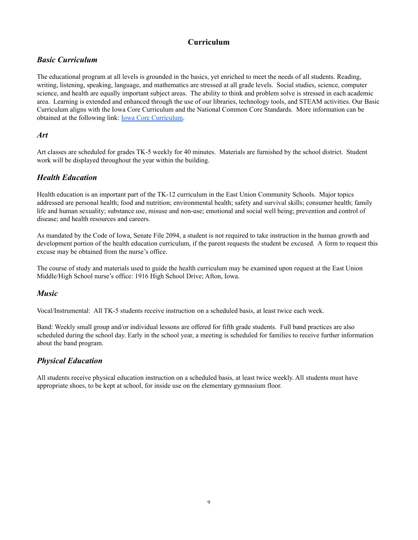#### **Curriculum**

#### *Basic Curriculum*

The educational program at all levels is grounded in the basics, yet enriched to meet the needs of all students. Reading, writing, listening, speaking, language, and mathematics are stressed at all grade levels. Social studies, science, computer science, and health are equally important subject areas. The ability to think and problem solve is stressed in each academic area. Learning is extended and enhanced through the use of our libraries, technology tools, and STEAM activities. Our Basic Curriculum aligns with the Iowa Core Curriculum and the National Common Core Standards. More information can be obtained at the following link: Iowa Core [Curriculum](https://iowacore.gov/).

#### *Art*

Art classes are scheduled for grades TK-5 weekly for 40 minutes. Materials are furnished by the school district. Student work will be displayed throughout the year within the building.

#### *Health Education*

Health education is an important part of the TK-12 curriculum in the East Union Community Schools. Major topics addressed are personal health; food and nutrition; environmental health; safety and survival skills; consumer health; family life and human sexuality; substance use, misuse and non-use; emotional and social well being; prevention and control of disease; and health resources and careers.

As mandated by the Code of Iowa, Senate File 2094, a student is not required to take instruction in the human growth and development portion of the health education curriculum, if the parent requests the student be excused. A form to request this excuse may be obtained from the nurse's office.

The course of study and materials used to guide the health curriculum may be examined upon request at the East Union Middle/High School nurse's office: 1916 High School Drive; Afton, Iowa.

#### *Music*

Vocal/Instrumental: All TK-5 students receive instruction on a scheduled basis, at least twice each week.

Band: Weekly small group and/or individual lessons are offered for fifth grade students. Full band practices are also scheduled during the school day. Early in the school year, a meeting is scheduled for families to receive further information about the band program.

#### *Physical Education*

All students receive physical education instruction on a scheduled basis, at least twice weekly. All students must have appropriate shoes, to be kept at school, for inside use on the elementary gymnasium floor.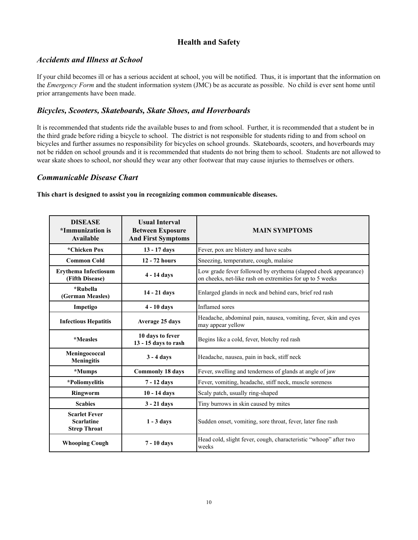#### **Health and Safety**

#### *Accidents and Illness at School*

If your child becomes ill or has a serious accident at school, you will be notified. Thus, it is important that the information on the *Emergency Form* and the student information system (JMC) be as accurate as possible. No child is ever sent home until prior arrangements have been made.

#### *Bicycles, Scooters, Skateboards, Skate Shoes, and Hoverboards*

It is recommended that students ride the available buses to and from school. Further, it is recommended that a student be in the third grade before riding a bicycle to school. The district is not responsible for students riding to and from school on bicycles and further assumes no responsibility for bicycles on school grounds. Skateboards, scooters, and hoverboards may not be ridden on school grounds and it is recommended that students do not bring them to school. Students are not allowed to wear skate shoes to school, nor should they wear any other footwear that may cause injuries to themselves or others.

#### *Communicable Disease Chart*

**This chart is designed to assist you in recognizing common communicable diseases.**

| <b>DISEASE</b><br>*Immunization is<br>Available                  | <b>Usual Interval</b><br><b>Between Exposure</b><br><b>And First Symptoms</b> | <b>MAIN SYMPTOMS</b>                                                                                                         |
|------------------------------------------------------------------|-------------------------------------------------------------------------------|------------------------------------------------------------------------------------------------------------------------------|
| *Chicken Pox                                                     | 13 - 17 days                                                                  | Fever, pox are blistery and have scabs                                                                                       |
| <b>Common Cold</b>                                               | 12 - 72 hours                                                                 | Sneezing, temperature, cough, malaise                                                                                        |
| <b>Erythema Infectiosum</b><br>(Fifth Disease)                   | 4 - 14 days                                                                   | Low grade fever followed by erythema (slapped cheek appearance)<br>on cheeks, net-like rash on extremities for up to 5 weeks |
| *Rubella<br>(German Measles)                                     | 14 - 21 days                                                                  | Enlarged glands in neck and behind ears, brief red rash                                                                      |
| Impetigo                                                         | $4 - 10$ days                                                                 | Inflamed sores                                                                                                               |
| <b>Infectious Hepatitis</b>                                      | <b>Average 25 days</b>                                                        | Headache, abdominal pain, nausea, vomiting, fever, skin and eyes<br>may appear yellow                                        |
| *Measles                                                         | 10 days to fever<br>13 - 15 days to rash                                      | Begins like a cold, fever, blotchy red rash                                                                                  |
| Meningococcal<br><b>Meningitis</b>                               | $3 - 4$ days                                                                  | Headache, nausea, pain in back, stiff neck                                                                                   |
| *Mumps                                                           | <b>Commonly 18 days</b>                                                       | Fever, swelling and tenderness of glands at angle of jaw                                                                     |
| *Poliomyelitis                                                   | 7 - 12 days                                                                   | Fever, vomiting, headache, stiff neck, muscle soreness                                                                       |
| <b>Ringworm</b>                                                  | $10 - 14$ days                                                                | Scaly patch, usually ring-shaped                                                                                             |
| <b>Scabies</b>                                                   | $3 - 21$ days                                                                 | Tiny burrows in skin caused by mites                                                                                         |
| <b>Scarlet Fever</b><br><b>Scarlatine</b><br><b>Strep Throat</b> | $1 - 3$ days                                                                  | Sudden onset, vomiting, sore throat, fever, later fine rash                                                                  |
| <b>Whooping Cough</b>                                            | 7 - 10 days                                                                   | Head cold, slight fever, cough, characteristic "whoop" after two<br>weeks                                                    |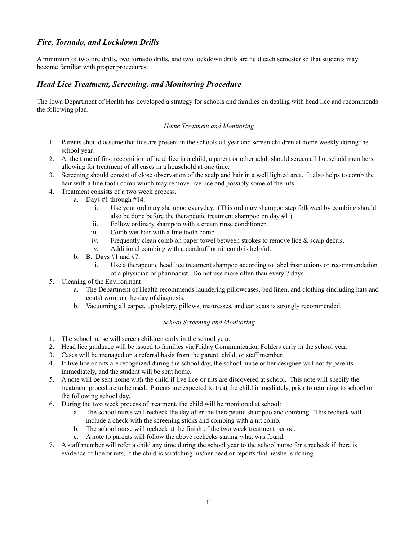#### *Fire, Tornado, and Lockdown Drills*

A minimum of two fire drills, two tornado drills, and two lockdown drills are held each semester so that students may become familiar with proper procedures.

#### *Head Lice Treatment, Screening, and Monitoring Procedure*

The Iowa Department of Health has developed a strategy for schools and families on dealing with head lice and recommends the following plan.

#### *Home Treatment and Monitoring*

- 1. Parents should assume that lice are present in the schools all year and screen children at home weekly during the school year.
- 2. At the time of first recognition of head lice in a child, a parent or other adult should screen all household members, allowing for treatment of all cases in a household at one time.
- 3. Screening should consist of close observation of the scalp and hair in a well lighted area. It also helps to comb the hair with a fine tooth comb which may remove live lice and possibly some of the nits.
- 4. Treatment consists of a two week process.
	- a. Days #1 through #14:
		- i. Use your ordinary shampoo everyday. (This ordinary shampoo step followed by combing should also be done before the therapeutic treatment shampoo on day #1.)
		- ii. Follow ordinary shampoo with a cream rinse conditioner.
		- iii. Comb wet hair with a fine tooth comb.
		- iv. Frequently clean comb on paper towel between strokes to remove lice  $\&$  scalp debris.
		- v. Additional combing with a dandruff or nit comb is helpful.
	- b. B. Days #1 and #7:
		- i. Use a therapeutic head lice treatment shampoo according to label instructions or recommendation of a physician or pharmacist. Do not use more often than every 7 days.
- 5. Cleaning of the Environment
	- a. The Department of Health recommends laundering pillowcases, bed linen, and clothing (including hats and coats) worn on the day of diagnosis.
	- b. Vacuuming all carpet, upholstery, pillows, mattresses, and car seats is strongly recommended.

#### *School Screening and Monitoring*

- 1. The school nurse will screen children early in the school year.
- 2. Head lice guidance will be issued to families via Friday Communication Folders early in the school year.
- 3. Cases will be managed on a referral basis from the parent, child, or staff member.
- 4. If live lice or nits are recognized during the school day, the school nurse or her designee will notify parents immediately, and the student will be sent home.
- 5. A note will be sent home with the child if live lice or nits are discovered at school. This note will specify the treatment procedure to be used. Parents are expected to treat the child immediately, prior to returning to school on the following school day.
- 6. During the two week process of treatment, the child will be monitored at school:
	- a. The school nurse will recheck the day after the therapeutic shampoo and combing. This recheck will include a check with the screening sticks and combing with a nit comb.
	- b. The school nurse will recheck at the finish of the two week treatment period.
	- c. A note to parents will follow the above rechecks stating what was found.
- 7. A staff member will refer a child any time during the school year to the school nurse for a recheck if there is evidence of lice or nits, if the child is scratching his/her head or reports that he/she is itching.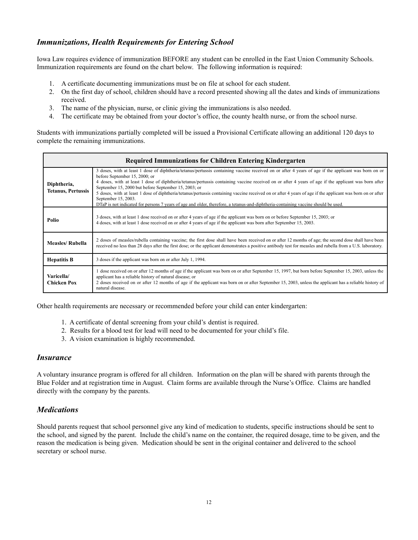#### *Immunizations, Health Requirements for Entering School*

Iowa Law requires evidence of immunization BEFORE any student can be enrolled in the East Union Community Schools. Immunization requirements are found on the chart below. The following information is required:

- 1. A certificate documenting immunizations must be on file at school for each student.
- 2. On the first day of school, children should have a record presented showing all the dates and kinds of immunizations received.
- 3. The name of the physician, nurse, or clinic giving the immunizations is also needed.
- 4. The certificate may be obtained from your doctor's office, the county health nurse, or from the school nurse.

Students with immunizations partially completed will be issued a Provisional Certificate allowing an additional 120 days to complete the remaining immunizations.

| <b>Required Immunizations for Children Entering Kindergarten</b> |                                                                                                                                                                                                                                                                                                                                                                                                                                                                                                                                                                                                                                                                                                                                  |  |
|------------------------------------------------------------------|----------------------------------------------------------------------------------------------------------------------------------------------------------------------------------------------------------------------------------------------------------------------------------------------------------------------------------------------------------------------------------------------------------------------------------------------------------------------------------------------------------------------------------------------------------------------------------------------------------------------------------------------------------------------------------------------------------------------------------|--|
| Diphtheria,<br><b>Tetanus, Pertussis</b>                         | 3 doses, with at least 1 dose of diphtheria/tetanus/pertussis containing vaccine received on or after 4 years of age if the applicant was born on or<br>before September 15, 2000; or<br>4 doses, with at least 1 dose of diphtheria/tetanus/pertussis containing vaccine received on or after 4 years of age if the applicant was born after<br>September 15, 2000 but before September 15, 2003; or<br>5 doses, with at least 1 dose of diphtheria/tetanus/pertussis containing vaccine received on or after 4 years of age if the applicant was born on or after<br>September 15, 2003.<br>DTaP is not indicated for persons 7 years of age and older, therefore, a tetanus-and-diphtheria-containing vaccine should be used. |  |
| Polio                                                            | 3 doses, with at least 1 dose received on or after 4 years of age if the applicant was born on or before September 15, 2003; or<br>4 doses, with at least 1 dose received on or after 4 years of age if the applicant was born after September 15, 2003.                                                                                                                                                                                                                                                                                                                                                                                                                                                                         |  |
| <b>Measles/Rubella</b>                                           | 2 doses of measles/rubella containing vaccine; the first dose shall have been received on or after 12 months of age; the second dose shall have been<br>received no less than 28 days after the first dose; or the applicant demonstrates a positive antibody test for measles and rubella from a U.S. laboratory.                                                                                                                                                                                                                                                                                                                                                                                                               |  |
| <b>Hepatitis B</b>                                               | 3 doses if the applicant was born on or after July 1, 1994.                                                                                                                                                                                                                                                                                                                                                                                                                                                                                                                                                                                                                                                                      |  |
| Varicella/<br><b>Chicken Pox</b>                                 | 1 dose received on or after 12 months of age if the applicant was born on or after September 15, 1997, but born before September 15, 2003, unless the<br>applicant has a reliable history of natural disease; or<br>2 doses received on or after 12 months of age if the applicant was born on or after September 15, 2003, unless the applicant has a reliable history of<br>natural disease.                                                                                                                                                                                                                                                                                                                                   |  |

Other health requirements are necessary or recommended before your child can enter kindergarten:

- 1. A certificate of dental screening from your child's dentist is required.
- 2. Results for a blood test for lead will need to be documented for your child's file.
- 3. A vision examination is highly recommended.

#### *Insurance*

A voluntary insurance program is offered for all children. Information on the plan will be shared with parents through the Blue Folder and at registration time in August. Claim forms are available through the Nurse's Office. Claims are handled directly with the company by the parents.

#### *Medications*

Should parents request that school personnel give any kind of medication to students, specific instructions should be sent to the school, and signed by the parent. Include the child's name on the container, the required dosage, time to be given, and the reason the medication is being given. Medication should be sent in the original container and delivered to the school secretary or school nurse.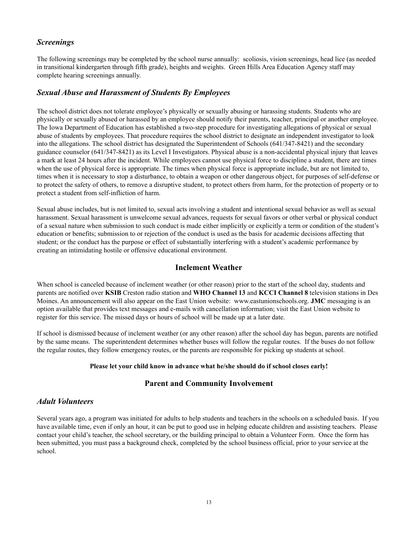#### *Screenings*

The following screenings may be completed by the school nurse annually: scoliosis, vision screenings, head lice (as needed in transitional kindergarten through fifth grade), heights and weights. Green Hills Area Education Agency staff may complete hearing screenings annually.

#### *Sexual Abuse and Harassment of Students By Employees*

The school district does not tolerate employee's physically or sexually abusing or harassing students. Students who are physically or sexually abused or harassed by an employee should notify their parents, teacher, principal or another employee. The Iowa Department of Education has established a two-step procedure for investigating allegations of physical or sexual abuse of students by employees. That procedure requires the school district to designate an independent investigator to look into the allegations. The school district has designated the Superintendent of Schools (641/347-8421) and the secondary guidance counselor (641/347-8421) as its Level I Investigators. Physical abuse is a non-accidental physical injury that leaves a mark at least 24 hours after the incident. While employees cannot use physical force to discipline a student, there are times when the use of physical force is appropriate. The times when physical force is appropriate include, but are not limited to, times when it is necessary to stop a disturbance, to obtain a weapon or other dangerous object, for purposes of self-defense or to protect the safety of others, to remove a disruptive student, to protect others from harm, for the protection of property or to protect a student from self-infliction of harm.

Sexual abuse includes, but is not limited to, sexual acts involving a student and intentional sexual behavior as well as sexual harassment. Sexual harassment is unwelcome sexual advances, requests for sexual favors or other verbal or physical conduct of a sexual nature when submission to such conduct is made either implicitly or explicitly a term or condition of the student's education or benefits; submission to or rejection of the conduct is used as the basis for academic decisions affecting that student; or the conduct has the purpose or effect of substantially interfering with a student's academic performance by creating an intimidating hostile or offensive educational environment.

#### **Inclement Weather**

When school is canceled because of inclement weather (or other reason) prior to the start of the school day, students and parents are notified over **KSIB** Creston radio station and **WHO Channel 13** and **KCCI Channel 8** television stations in Des Moines. An announcement will also appear on the East Union website: www.eastunionschools.org. **JMC** messaging is an option available that provides text messages and e-mails with cancellation information; visit the East Union website to register for this service. The missed days or hours of school will be made up at a later date.

If school is dismissed because of inclement weather (or any other reason) after the school day has begun, parents are notified by the same means. The superintendent determines whether buses will follow the regular routes. If the buses do not follow the regular routes, they follow emergency routes, or the parents are responsible for picking up students at school.

#### **Please let your child know in advance what he/she should do if school closes early!**

#### **Parent and Community Involvement**

#### *Adult Volunteers*

Several years ago, a program was initiated for adults to help students and teachers in the schools on a scheduled basis. If you have available time, even if only an hour, it can be put to good use in helping educate children and assisting teachers. Please contact your child's teacher, the school secretary, or the building principal to obtain a Volunteer Form. Once the form has been submitted, you must pass a background check, completed by the school business official, prior to your service at the school.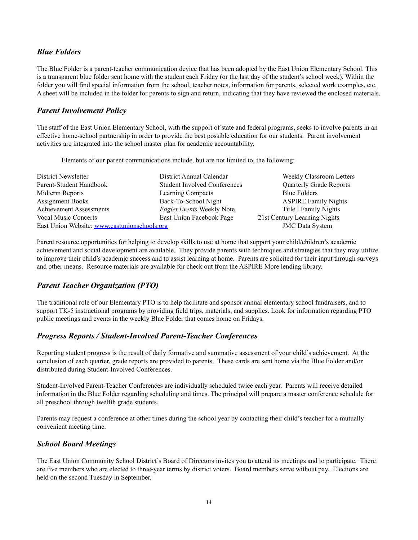#### *Blue Folders*

The Blue Folder is a parent-teacher communication device that has been adopted by the East Union Elementary School. This is a transparent blue folder sent home with the student each Friday (or the last day of the student's school week). Within the folder you will find special information from the school, teacher notes, information for parents, selected work examples, etc. A sheet will be included in the folder for parents to sign and return, indicating that they have reviewed the enclosed materials.

#### *Parent Involvement Policy*

The staff of the East Union Elementary School, with the support of state and federal programs, seeks to involve parents in an effective home-school partnership in order to provide the best possible education for our students. Parent involvement activities are integrated into the school master plan for academic accountability.

Elements of our parent communications include, but are not limited to, the following:

| District Newsletter                          | District Annual Calendar            | Weekly Classroom Letters       |
|----------------------------------------------|-------------------------------------|--------------------------------|
| Parent-Student Handbook                      | <b>Student Involved Conferences</b> | <b>Quarterly Grade Reports</b> |
| Midterm Reports                              | Learning Compacts                   | <b>Blue Folders</b>            |
| <b>Assignment Books</b>                      | Back-To-School Night                | <b>ASPIRE Family Nights</b>    |
| <b>Achievement Assessments</b>               | Eaglet Events Weekly Note           | Title I Family Nights          |
| <b>Vocal Music Concerts</b>                  | East Union Facebook Page            | 21st Century Learning Nights   |
| East Union Website: www.eastunionschools.org | <b>JMC</b> Data System              |                                |

Parent resource opportunities for helping to develop skills to use at home that support your child/children's academic achievement and social development are available. They provide parents with techniques and strategies that they may utilize to improve their child's academic success and to assist learning at home. Parents are solicited for their input through surveys and other means. Resource materials are available for check out from the ASPIRE More lending library.

#### *Parent Teacher Organization (PTO)*

The traditional role of our Elementary PTO is to help facilitate and sponsor annual elementary school fundraisers, and to support TK-5 instructional programs by providing field trips, materials, and supplies. Look for information regarding PTO public meetings and events in the weekly Blue Folder that comes home on Fridays.

#### *Progress Reports / Student-Involved Parent-Teacher Conferences*

Reporting student progress is the result of daily formative and summative assessment of your child's achievement. At the conclusion of each quarter, grade reports are provided to parents. These cards are sent home via the Blue Folder and/or distributed during Student-Involved Conferences.

Student-Involved Parent-Teacher Conferences are individually scheduled twice each year. Parents will receive detailed information in the Blue Folder regarding scheduling and times. The principal will prepare a master conference schedule for all preschool through twelfth grade students.

Parents may request a conference at other times during the school year by contacting their child's teacher for a mutually convenient meeting time.

#### *School Board Meetings*

The East Union Community School District's Board of Directors invites you to attend its meetings and to participate. There are five members who are elected to three-year terms by district voters. Board members serve without pay. Elections are held on the second Tuesday in September.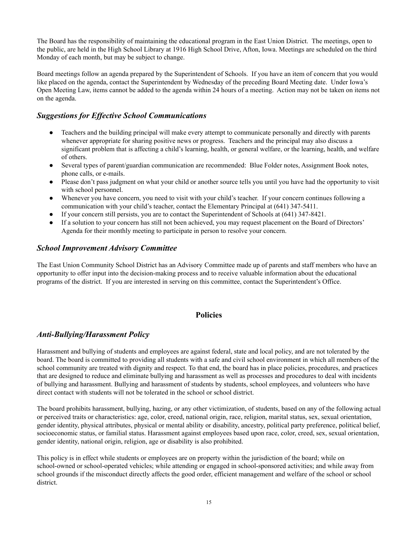The Board has the responsibility of maintaining the educational program in the East Union District. The meetings, open to the public, are held in the High School Library at 1916 High School Drive, Afton, Iowa. Meetings are scheduled on the third Monday of each month, but may be subject to change.

Board meetings follow an agenda prepared by the Superintendent of Schools. If you have an item of concern that you would like placed on the agenda, contact the Superintendent by Wednesday of the preceding Board Meeting date. Under Iowa's Open Meeting Law, items cannot be added to the agenda within 24 hours of a meeting. Action may not be taken on items not on the agenda.

#### *Suggestions for Effective School Communications*

- Teachers and the building principal will make every attempt to communicate personally and directly with parents whenever appropriate for sharing positive news or progress. Teachers and the principal may also discuss a significant problem that is affecting a child's learning, health, or general welfare, or the learning, health, and welfare of others.
- Several types of parent/guardian communication are recommended: Blue Folder notes, Assignment Book notes, phone calls, or e-mails.
- Please don't pass judgment on what your child or another source tells you until you have had the opportunity to visit with school personnel.
- Whenever you have concern, you need to visit with your child's teacher. If your concern continues following a communication with your child's teacher, contact the Elementary Principal at (641) 347-5411.
- If your concern still persists, you are to contact the Superintendent of Schools at (641) 347-8421.
- If a solution to your concern has still not been achieved, you may request placement on the Board of Directors' Agenda for their monthly meeting to participate in person to resolve your concern.

#### *School Improvement Advisory Committee*

The East Union Community School District has an Advisory Committee made up of parents and staff members who have an opportunity to offer input into the decision-making process and to receive valuable information about the educational programs of the district. If you are interested in serving on this committee, contact the Superintendent's Office.

#### **Policies**

#### *Anti-Bullying/Harassment Policy*

Harassment and bullying of students and employees are against federal, state and local policy, and are not tolerated by the board. The board is committed to providing all students with a safe and civil school environment in which all members of the school community are treated with dignity and respect. To that end, the board has in place policies, procedures, and practices that are designed to reduce and eliminate bullying and harassment as well as processes and procedures to deal with incidents of bullying and harassment. Bullying and harassment of students by students, school employees, and volunteers who have direct contact with students will not be tolerated in the school or school district.

The board prohibits harassment, bullying, hazing, or any other victimization, of students, based on any of the following actual or perceived traits or characteristics: age, color, creed, national origin, race, religion, marital status, sex, sexual orientation, gender identity, physical attributes, physical or mental ability or disability, ancestry, political party preference, political belief, socioeconomic status, or familial status. Harassment against employees based upon race, color, creed, sex, sexual orientation, gender identity, national origin, religion, age or disability is also prohibited.

This policy is in effect while students or employees are on property within the jurisdiction of the board; while on school-owned or school-operated vehicles; while attending or engaged in school-sponsored activities; and while away from school grounds if the misconduct directly affects the good order, efficient management and welfare of the school or school district.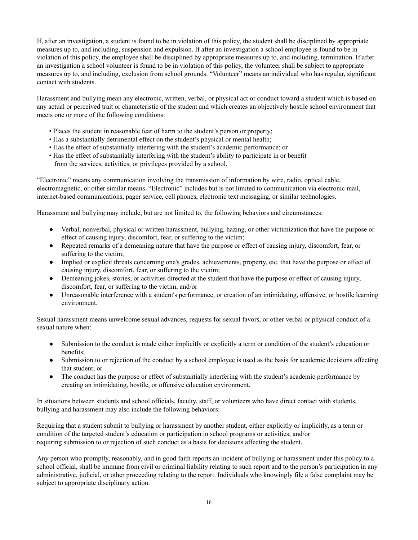If, after an investigation, a student is found to be in violation of this policy, the student shall be disciplined by appropriate measures up to, and including, suspension and expulsion. If after an investigation a school employee is found to be in violation of this policy, the employee shall be disciplined by appropriate measures up to, and including, termination. If after an investigation a school volunteer is found to be in violation of this policy, the volunteer shall be subject to appropriate measures up to, and including, exclusion from school grounds. "Volunteer" means an individual who has regular, significant contact with students.

Harassment and bullying mean any electronic, written, verbal, or physical act or conduct toward a student which is based on any actual or perceived trait or characteristic of the student and which creates an objectively hostile school environment that meets one or more of the following conditions:

- Places the student in reasonable fear of harm to the student's person or property;
- Has a substantially detrimental effect on the student's physical or mental health;
- Has the effect of substantially interfering with the student's academic performance; or
- Has the effect of substantially interfering with the student's ability to participate in or benefit from the services, activities, or privileges provided by a school.

"Electronic" means any communication involving the transmission of information by wire, radio, optical cable, electromagnetic, or other similar means. "Electronic" includes but is not limited to communication via electronic mail, internet-based communications, pager service, cell phones, electronic text messaging, or similar technologies.

Harassment and bullying may include, but are not limited to, the following behaviors and circumstances:

- Verbal, nonverbal, physical or written harassment, bullying, hazing, or other victimization that have the purpose or effect of causing injury, discomfort, fear, or suffering to the victim;
- Repeated remarks of a demeaning nature that have the purpose or effect of causing injury, discomfort, fear, or suffering to the victim;
- Implied or explicit threats concerning one's grades, achievements, property, etc. that have the purpose or effect of causing injury, discomfort, fear, or suffering to the victim;
- Demeaning jokes, stories, or activities directed at the student that have the purpose or effect of causing injury, discomfort, fear, or suffering to the victim; and/or
- Unreasonable interference with a student's performance, or creation of an intimidating, offensive, or hostile learning environment.

Sexual harassment means unwelcome sexual advances, requests for sexual favors, or other verbal or physical conduct of a sexual nature when:

- Submission to the conduct is made either implicitly or explicitly a term or condition of the student's education or benefits;
- Submission to or rejection of the conduct by a school employee is used as the basis for academic decisions affecting that student; or
- The conduct has the purpose or effect of substantially interfering with the student's academic performance by creating an intimidating, hostile, or offensive education environment.

In situations between students and school officials, faculty, staff, or volunteers who have direct contact with students, bullying and harassment may also include the following behaviors:

Requiring that a student submit to bullying or harassment by another student, either explicitly or implicitly, as a term or condition of the targeted student's education or participation in school programs or activities; and/or requiring submission to or rejection of such conduct as a basis for decisions affecting the student.

Any person who promptly, reasonably, and in good faith reports an incident of bullying or harassment under this policy to a school official, shall be immune from civil or criminal liability relating to such report and to the person's participation in any administrative, judicial, or other proceeding relating to the report. Individuals who knowingly file a false complaint may be subject to appropriate disciplinary action.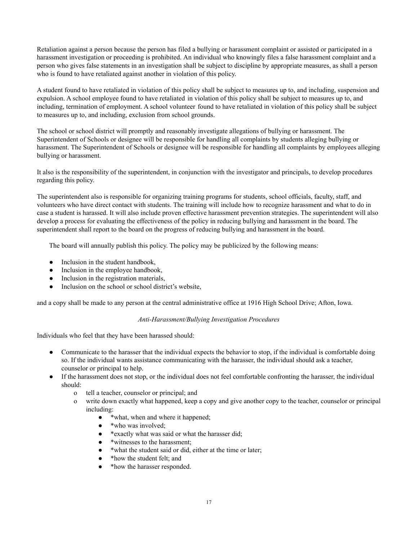Retaliation against a person because the person has filed a bullying or harassment complaint or assisted or participated in a harassment investigation or proceeding is prohibited. An individual who knowingly files a false harassment complaint and a person who gives false statements in an investigation shall be subject to discipline by appropriate measures, as shall a person who is found to have retaliated against another in violation of this policy.

A student found to have retaliated in violation of this policy shall be subject to measures up to, and including, suspension and expulsion. A school employee found to have retaliated in violation of this policy shall be subject to measures up to, and including, termination of employment. A school volunteer found to have retaliated in violation of this policy shall be subject to measures up to, and including, exclusion from school grounds.

The school or school district will promptly and reasonably investigate allegations of bullying or harassment. The Superintendent of Schools or designee will be responsible for handling all complaints by students alleging bullying or harassment. The Superintendent of Schools or designee will be responsible for handling all complaints by employees alleging bullying or harassment.

It also is the responsibility of the superintendent, in conjunction with the investigator and principals, to develop procedures regarding this policy.

The superintendent also is responsible for organizing training programs for students, school officials, faculty, staff, and volunteers who have direct contact with students. The training will include how to recognize harassment and what to do in case a student is harassed. It will also include proven effective harassment prevention strategies. The superintendent will also develop a process for evaluating the effectiveness of the policy in reducing bullying and harassment in the board. The superintendent shall report to the board on the progress of reducing bullying and harassment in the board.

The board will annually publish this policy. The policy may be publicized by the following means:

- Inclusion in the student handbook,
- Inclusion in the employee handbook,
- Inclusion in the registration materials,
- Inclusion on the school or school district's website.

and a copy shall be made to any person at the central administrative office at 1916 High School Drive; Afton, Iowa.

#### *Anti-Harassment/Bullying Investigation Procedures*

Individuals who feel that they have been harassed should:

- Communicate to the harasser that the individual expects the behavior to stop, if the individual is comfortable doing so. If the individual wants assistance communicating with the harasser, the individual should ask a teacher, counselor or principal to help.
- If the harassment does not stop, or the individual does not feel comfortable confronting the harasser, the individual should:
	- o tell a teacher, counselor or principal; and
	- o write down exactly what happened, keep a copy and give another copy to the teacher, counselor or principal including:
		- \*what, when and where it happened;
		- \*who was involved;
		- \* exactly what was said or what the harasser did;
		- \*witnesses to the harassment;
		- \*what the student said or did, either at the time or later;
		- \* how the student felt; and
		- \*how the harasser responded.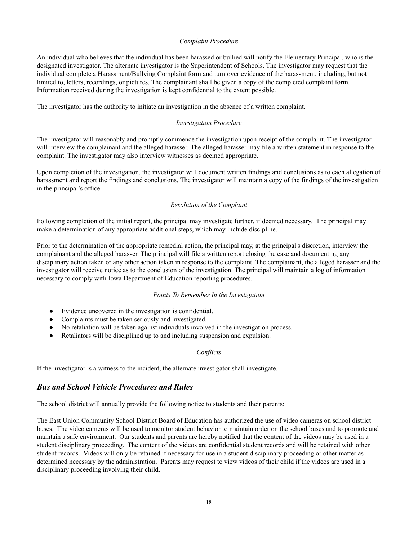#### *Complaint Procedure*

An individual who believes that the individual has been harassed or bullied will notify the Elementary Principal, who is the designated investigator. The alternate investigator is the Superintendent of Schools. The investigator may request that the individual complete a Harassment/Bullying Complaint form and turn over evidence of the harassment, including, but not limited to, letters, recordings, or pictures. The complainant shall be given a copy of the completed complaint form. Information received during the investigation is kept confidential to the extent possible.

The investigator has the authority to initiate an investigation in the absence of a written complaint.

#### *Investigation Procedure*

The investigator will reasonably and promptly commence the investigation upon receipt of the complaint. The investigator will interview the complainant and the alleged harasser. The alleged harasser may file a written statement in response to the complaint. The investigator may also interview witnesses as deemed appropriate.

Upon completion of the investigation, the investigator will document written findings and conclusions as to each allegation of harassment and report the findings and conclusions. The investigator will maintain a copy of the findings of the investigation in the principal's office.

#### *Resolution of the Complaint*

Following completion of the initial report, the principal may investigate further, if deemed necessary. The principal may make a determination of any appropriate additional steps, which may include discipline.

Prior to the determination of the appropriate remedial action, the principal may, at the principal's discretion, interview the complainant and the alleged harasser. The principal will file a written report closing the case and documenting any disciplinary action taken or any other action taken in response to the complaint. The complainant, the alleged harasser and the investigator will receive notice as to the conclusion of the investigation. The principal will maintain a log of information necessary to comply with Iowa Department of Education reporting procedures.

#### *Points To Remember In the Investigation*

- Evidence uncovered in the investigation is confidential.
- Complaints must be taken seriously and investigated.
- No retaliation will be taken against individuals involved in the investigation process.
- Retaliators will be disciplined up to and including suspension and expulsion.

#### *Conflicts*

If the investigator is a witness to the incident, the alternate investigator shall investigate.

#### *Bus and School Vehicle Procedures and Rules*

The school district will annually provide the following notice to students and their parents:

The East Union Community School District Board of Education has authorized the use of video cameras on school district buses. The video cameras will be used to monitor student behavior to maintain order on the school buses and to promote and maintain a safe environment. Our students and parents are hereby notified that the content of the videos may be used in a student disciplinary proceeding. The content of the videos are confidential student records and will be retained with other student records. Videos will only be retained if necessary for use in a student disciplinary proceeding or other matter as determined necessary by the administration. Parents may request to view videos of their child if the videos are used in a disciplinary proceeding involving their child.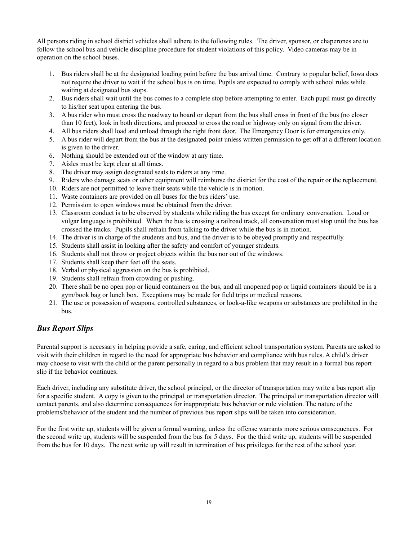All persons riding in school district vehicles shall adhere to the following rules. The driver, sponsor, or chaperones are to follow the school bus and vehicle discipline procedure for student violations of this policy. Video cameras may be in operation on the school buses.

- 1. Bus riders shall be at the designated loading point before the bus arrival time. Contrary to popular belief, Iowa does not require the driver to wait if the school bus is on time. Pupils are expected to comply with school rules while waiting at designated bus stops.
- 2. Bus riders shall wait until the bus comes to a complete stop before attempting to enter. Each pupil must go directly to his/her seat upon entering the bus.
- 3. A bus rider who must cross the roadway to board or depart from the bus shall cross in front of the bus (no closer than 10 feet), look in both directions, and proceed to cross the road or highway only on signal from the driver.
- 4. All bus riders shall load and unload through the right front door. The Emergency Door is for emergencies only.
- 5. A bus rider will depart from the bus at the designated point unless written permission to get off at a different location is given to the driver.
- 6. Nothing should be extended out of the window at any time.
- 7. Aisles must be kept clear at all times.
- 8. The driver may assign designated seats to riders at any time.
- 9. Riders who damage seats or other equipment will reimburse the district for the cost of the repair or the replacement.
- 10. Riders are not permitted to leave their seats while the vehicle is in motion.
- 11. Waste containers are provided on all buses for the bus riders' use.
- 12. Permission to open windows must be obtained from the driver.
- 13. Classroom conduct is to be observed by students while riding the bus except for ordinary conversation. Loud or vulgar language is prohibited. When the bus is crossing a railroad track, all conversation must stop until the bus has crossed the tracks. Pupils shall refrain from talking to the driver while the bus is in motion.
- 14. The driver is in charge of the students and bus, and the driver is to be obeyed promptly and respectfully.
- 15. Students shall assist in looking after the safety and comfort of younger students.
- 16. Students shall not throw or project objects within the bus nor out of the windows.
- 17. Students shall keep their feet off the seats.
- 18. Verbal or physical aggression on the bus is prohibited.
- 19. Students shall refrain from crowding or pushing.
- 20. There shall be no open pop or liquid containers on the bus, and all unopened pop or liquid containers should be in a gym/book bag or lunch box. Exceptions may be made for field trips or medical reasons.
- 21. The use or possession of weapons, controlled substances, or look-a-like weapons or substances are prohibited in the bus.

#### *Bus Report Slips*

Parental support is necessary in helping provide a safe, caring, and efficient school transportation system. Parents are asked to visit with their children in regard to the need for appropriate bus behavior and compliance with bus rules. A child's driver may choose to visit with the child or the parent personally in regard to a bus problem that may result in a formal bus report slip if the behavior continues.

Each driver, including any substitute driver, the school principal, or the director of transportation may write a bus report slip for a specific student. A copy is given to the principal or transportation director. The principal or transportation director will contact parents, and also determine consequences for inappropriate bus behavior or rule violation. The nature of the problems/behavior of the student and the number of previous bus report slips will be taken into consideration.

For the first write up, students will be given a formal warning, unless the offense warrants more serious consequences. For the second write up, students will be suspended from the bus for 5 days. For the third write up, students will be suspended from the bus for 10 days. The next write up will result in termination of bus privileges for the rest of the school year.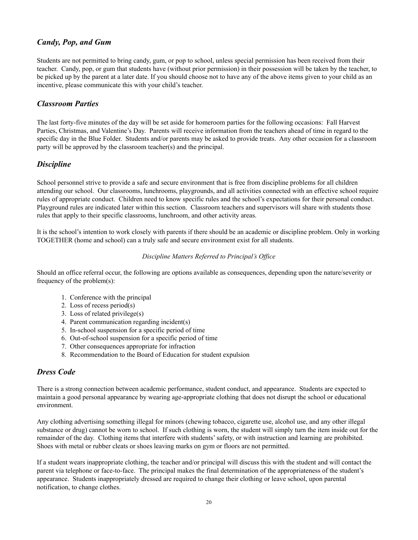#### *Candy, Pop, and Gum*

Students are not permitted to bring candy, gum, or pop to school, unless special permission has been received from their teacher. Candy, pop, or gum that students have (without prior permission) in their possession will be taken by the teacher, to be picked up by the parent at a later date. If you should choose not to have any of the above items given to your child as an incentive, please communicate this with your child's teacher.

#### *Classroom Parties*

The last forty-five minutes of the day will be set aside for homeroom parties for the following occasions: Fall Harvest Parties, Christmas, and Valentine's Day. Parents will receive information from the teachers ahead of time in regard to the specific day in the Blue Folder. Students and/or parents may be asked to provide treats. Any other occasion for a classroom party will be approved by the classroom teacher(s) and the principal.

#### *Discipline*

School personnel strive to provide a safe and secure environment that is free from discipline problems for all children attending our school. Our classrooms, lunchrooms, playgrounds, and all activities connected with an effective school require rules of appropriate conduct. Children need to know specific rules and the school's expectations for their personal conduct. Playground rules are indicated later within this section. Classroom teachers and supervisors will share with students those rules that apply to their specific classrooms, lunchroom, and other activity areas.

It is the school's intention to work closely with parents if there should be an academic or discipline problem. Only in working TOGETHER (home and school) can a truly safe and secure environment exist for all students.

#### *Discipline Matters Referred to Principal's Of ice*

Should an office referral occur, the following are options available as consequences, depending upon the nature/severity or frequency of the problem(s):

- 1. Conference with the principal
- 2. Loss of recess period(s)
- 3. Loss of related privilege(s)
- 4. Parent communication regarding incident(s)
- 5. In-school suspension for a specific period of time
- 6. Out-of-school suspension for a specific period of time
- 7. Other consequences appropriate for infraction
- 8. Recommendation to the Board of Education for student expulsion

#### *Dress Code*

There is a strong connection between academic performance, student conduct, and appearance. Students are expected to maintain a good personal appearance by wearing age-appropriate clothing that does not disrupt the school or educational environment.

Any clothing advertising something illegal for minors (chewing tobacco, cigarette use, alcohol use, and any other illegal substance or drug) cannot be worn to school. If such clothing is worn, the student will simply turn the item inside out for the remainder of the day. Clothing items that interfere with students'safety, or with instruction and learning are prohibited. Shoes with metal or rubber cleats or shoes leaving marks on gym or floors are not permitted.

If a student wears inappropriate clothing, the teacher and/or principal will discuss this with the student and will contact the parent via telephone or face-to-face. The principal makes the final determination of the appropriateness of the student's appearance. Students inappropriately dressed are required to change their clothing or leave school, upon parental notification, to change clothes.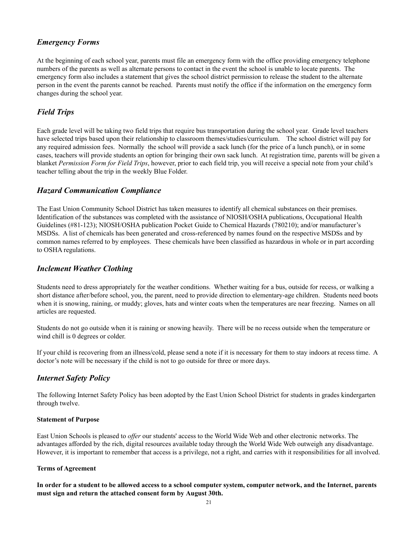#### *Emergency Forms*

At the beginning of each school year, parents must file an emergency form with the office providing emergency telephone numbers of the parents as well as alternate persons to contact in the event the school is unable to locate parents. The emergency form also includes a statement that gives the school district permission to release the student to the alternate person in the event the parents cannot be reached. Parents must notify the office if the information on the emergency form changes during the school year.

#### *Field Trips*

Each grade level will be taking two field trips that require bus transportation during the school year. Grade level teachers have selected trips based upon their relationship to classroom themes/studies/curriculum. The school district will pay for any required admission fees. Normally the school will provide a sack lunch (for the price of a lunch punch), or in some cases, teachers will provide students an option for bringing their own sack lunch. At registration time, parents will be given a blanket *Permission Form for Field Trips*, however, prior to each field trip, you will receive a special note from your child's teacher telling about the trip in the weekly Blue Folder.

#### *Hazard Communication Compliance*

The East Union Community School District has taken measures to identify all chemical substances on their premises. Identification of the substances was completed with the assistance of NIOSH/OSHA publications, Occupational Health Guidelines (#81-123); NIOSH/OSHA publication Pocket Guide to Chemical Hazards (780210); and/or manufacturer's MSDSs. A list of chemicals has been generated and cross-referenced by names found on the respective MSDSs and by common names referred to by employees. These chemicals have been classified as hazardous in whole or in part according to OSHA regulations.

#### *Inclement Weather Clothing*

Students need to dress appropriately for the weather conditions. Whether waiting for a bus, outside for recess, or walking a short distance after/before school, you, the parent, need to provide direction to elementary-age children. Students need boots when it is snowing, raining, or muddy; gloves, hats and winter coats when the temperatures are near freezing. Names on all articles are requested.

Students do not go outside when it is raining or snowing heavily. There will be no recess outside when the temperature or wind chill is 0 degrees or colder.

If your child is recovering from an illness/cold, please send a note if it is necessary for them to stay indoors at recess time. A doctor's note will be necessary if the child is not to go outside for three or more days.

#### *Internet Safety Policy*

The following Internet Safety Policy has been adopted by the East Union School District for students in grades kindergarten through twelve.

#### **Statement of Purpose**

East Union Schools is pleased to *offer* our students' access to the World Wide Web and other electronic networks. The advantages afforded by the rich, digital resources available today through the World Wide Web outweigh any disadvantage. However, it is important to remember that access is a privilege, not a right, and carries with it responsibilities for all involved.

#### **Terms of Agreement**

#### In order for a student to be allowed access to a school computer system, computer network, and the Internet, parents **must sign and return the attached consent form by August 30th.**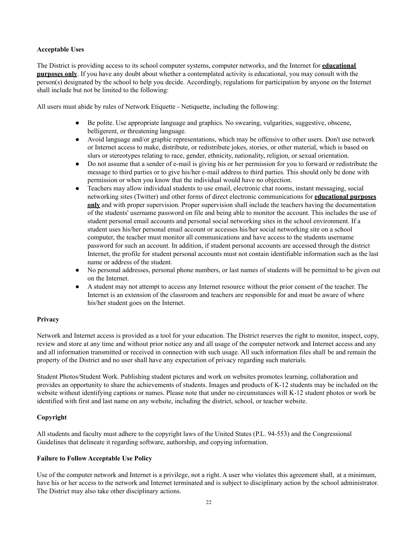#### **Acceptable Uses**

The District is providing access to its school computer systems, computer networks, and the Internet for **educational purposes only**. If you have any doubt about whether a contemplated activity is educational, you may consult with the person(s) designated by the school to help you decide. Accordingly, regulations for participation by anyone on the Internet shall include but not be limited to the following:

All users must abide by rules of Network Etiquette - Netiquette, including the following:

- Be polite. Use appropriate language and graphics. No swearing, vulgarities, suggestive, obscene, belligerent, or threatening language.
- Avoid language and/or graphic representations, which may be offensive to other users. Don't use network or Internet access to make, distribute, or redistribute jokes, stories, or other material, which is based on slurs or stereotypes relating to race, gender, ethnicity, nationality, religion, or sexual orientation.
- Do not assume that a sender of e-mail is giving his or her permission for you to forward or redistribute the message to third parties or to give his/her e-mail address to third parties. This should only be done with permission or when you know that the individual would have no objection.
- Teachers may allow individual students to use email, electronic chat rooms, instant messaging, social networking sites (Twitter) and other forms of direct electronic communications for **educational purposes only** and with proper supervision. Proper supervision shall include the teachers having the documentation of the students' username password on file and being able to monitor the account. This includes the use of student personal email accounts and personal social networking sites in the school environment. If a student uses his/her personal email account or accesses his/her social networking site on a school computer, the teacher must monitor all communications and have access to the students username password for such an account. In addition, if student personal accounts are accessed through the district Internet, the profile for student personal accounts must not contain identifiable information such as the last name or address of the student.
- No personal addresses, personal phone numbers, or last names of students will be permitted to be given out on the Internet.
- A student may not attempt to access any Internet resource without the prior consent of the teacher. The Internet is an extension of the classroom and teachers are responsible for and must be aware of where his/her student goes on the Internet.

#### **Privacy**

Network and Internet access is provided as a tool for your education. The District reserves the right to monitor, inspect, copy, review and store at any time and without prior notice any and all usage of the computer network and Internet access and any and all information transmitted or received in connection with such usage. All such information files shall be and remain the property of the District and no user shall have any expectation of privacy regarding such materials.

Student Photos/Student Work. Publishing student pictures and work on websites promotes learning, collaboration and provides an opportunity to share the achievements of students. Images and products of K-12 students may be included on the website without identifying captions or names. Please note that under no circumstances will K-12 student photos or work be identified with first and last name on any website, including the district, school, or teacher website.

#### **Copyright**

All students and faculty must adhere to the copyright laws of the United States (P.L. 94-553) and the Congressional Guidelines that delineate it regarding software, authorship, and copying information.

#### **Failure to Follow Acceptable Use Policy**

Use of the computer network and Internet is a privilege, not a right. A user who violates this agreement shall, at a minimum, have his or her access to the network and Internet terminated and is subject to disciplinary action by the school administrator. The District may also take other disciplinary actions.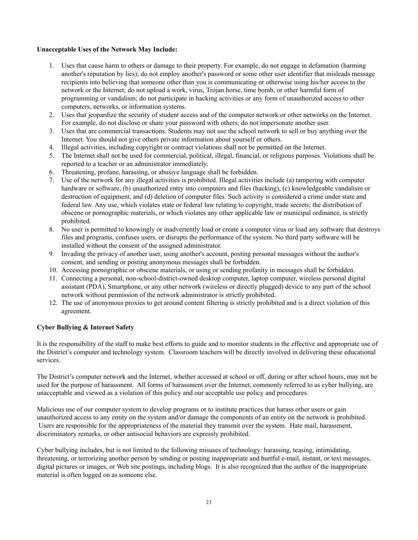#### **Unacceptable Uses of the Network May Include:**

- 1. Uses that cause harm to others or damage to their property. For example, do not engage in defamation (harming another's reputation by lies); do not employ another's password or some other user identifier that misleads message recipients into believing that someone other than you is communicating or otherwise using his/her access to the network or the Internet; do not upload a work, virus, Trojan horse, time bomb, or other harmful form of programming or vandalism; do not participate in hacking activities or any form of unauthorized access to other computers, networks, or information systems.
- 2. Uses that jeopardize the security of student access and of the computer network or other networks on the Internet. For example, do not disclose or share your password with others; do not impersonate another user.
- 3. Uses that are commercial transactions. Students may not use the school network to sell or buy anything over the Internet. You should not give others private information about yourself or others.
- 4. Illegal activities, including copyright or contract violations shall not be permitted on the Internet.
- 5. The Internet shall not be used for commercial, political, illegal, financial, or religious purposes. Violations shall be reported to a teacher or an administrator immediately.
- 6. Threatening, profane, harassing, or abusive language shall be forbidden.
- 7. Use of the network for any illegal activities is prohibited. Illegal activities include (a) tampering with computer hardware or software, (b) unauthorized entry into computers and files (hacking), (c) knowledgeable vandalism or destruction of equipment, and (d) deletion of computer files. Such activity is considered a crime under state and federal law. Any use, which violates state or federal law relating to copyright, trade secrets; the distribution of obscene or pornographic materials, or which violates any other applicable law or municipal ordinance, is strictly prohibited.
- 8. No user is permitted to knowingly or inadvertently load or create a computer virus or load any software that destroys files and programs, confuses users, or disrupts the performance of the system. No third party software will be installed without the consent of the assigned administrator.
- 9. Invading the privacy of another user, using another's account, posting personal messages without the author's consent, and sending or posting anonymous messages shall be forbidden.
- 10. Accessing pornographic or obscene materials, or using or sending profanity in messages shall be forbidden.
- 11. Connecting a personal, non-school-district-owned desktop computer, laptop computer, wireless personal digital assistant (PDA), Smartphone, or any other network (wireless or directly plugged) device to any part of the school network without permission of the network administrator is strictly prohibited.
- 12. The use of anonymous proxies to get around content filtering is strictly prohibited and is a direct violation of this agreement.

#### **Cyber Bullying & Internet Safety**

It is the responsibility of the staff to make best efforts to guide and to monitor students in the effective and appropriate use of the District's computer and technology system. Classroom teachers will be directly involved in delivering these educational services.

The District's computer network and the Internet, whether accessed at school or off, during or after school hours, may not be used for the purpose of harassment. All forms of harassment over the Internet, commonly referred to as cyber bullying, are unacceptable and viewed as a violation of this policy and our acceptable use policy and procedures.

Malicious use of our computer system to develop programs or to institute practices that harass other users or gain unauthorized access to any entity on the system and/or damage the components of an entity on the network is prohibited. Users are responsible for the appropriateness of the material they transmit over the system. Hate mail, harassment, discriminatory remarks, or other antisocial behaviors are expressly prohibited.

Cyber bullying includes, but is not limited to the following misuses of technology: harassing, teasing, intimidating, threatening, or terrorizing another person by sending or posting inappropriate and hurtful e-mail, instant, or text messages, digital pictures or images, or Web site postings, including blogs. It is also recognized that the author of the inappropriate material is often logged on as someone else.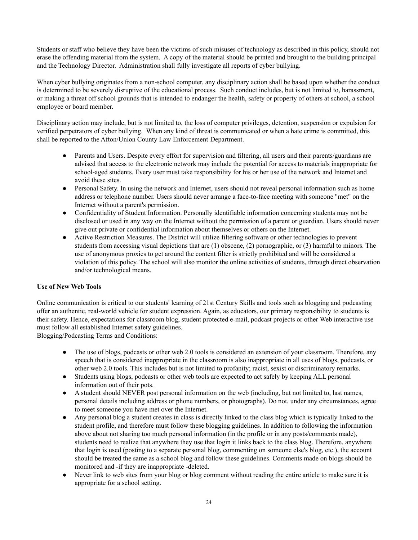Students or staff who believe they have been the victims of such misuses of technology as described in this policy, should not erase the offending material from the system. A copy of the material should be printed and brought to the building principal and the Technology Director. Administration shall fully investigate all reports of cyber bullying.

When cyber bullying originates from a non-school computer, any disciplinary action shall be based upon whether the conduct is determined to be severely disruptive of the educational process. Such conduct includes, but is not limited to, harassment, or making a threat off school grounds that is intended to endanger the health, safety or property of others at school, a school employee or board member.

Disciplinary action may include, but is not limited to, the loss of computer privileges, detention, suspension or expulsion for verified perpetrators of cyber bullying. When any kind of threat is communicated or when a hate crime is committed, this shall be reported to the Afton/Union County Law Enforcement Department.

- Parents and Users. Despite every effort for supervision and filtering, all users and their parents/guardians are advised that access to the electronic network may include the potential for access to materials inappropriate for school-aged students. Every user must take responsibility for his or her use of the network and Internet and avoid these sites.
- Personal Safety. In using the network and Internet, users should not reveal personal information such as home address or telephone number. Users should never arrange a face-to-face meeting with someone "met" on the Internet without a parent's permission.
- Confidentiality of Student Information. Personally identifiable information concerning students may not be disclosed or used in any way on the Internet without the permission of a parent or guardian. Users should never give out private or confidential information about themselves or others on the Internet.
- Active Restriction Measures. The District will utilize filtering software or other technologies to prevent students from accessing visual depictions that are (1) obscene, (2) pornographic, or (3) harmful to minors. The use of anonymous proxies to get around the content filter is strictly prohibited and will be considered a violation of this policy. The school will also monitor the online activities of students, through direct observation and/or technological means.

#### **Use of New Web Tools**

Online communication is critical to our students' learning of 21st Century Skills and tools such as blogging and podcasting offer an authentic, real-world vehicle for student expression. Again, as educators, our primary responsibility to students is their safety. Hence, expectations for classroom blog, student protected e-mail, podcast projects or other Web interactive use must follow all established Internet safety guidelines.

Blogging/Podcasting Terms and Conditions:

- The use of blogs, podcasts or other web 2.0 tools is considered an extension of your classroom. Therefore, any speech that is considered inappropriate in the classroom is also inappropriate in all uses of blogs, podcasts, or other web 2.0 tools. This includes but is not limited to profanity; racist, sexist or discriminatory remarks.
- Students using blogs, podcasts or other web tools are expected to act safely by keeping ALL personal information out of their pots.
- A student should NEVER post personal information on the web (including, but not limited to, last names, personal details including address or phone numbers, or photographs). Do not, under any circumstances, agree to meet someone you have met over the Internet.
- Any personal blog a student creates in class is directly linked to the class blog which is typically linked to the student profile, and therefore must follow these blogging guidelines. In addition to following the information above about not sharing too much personal information (in the profile or in any posts/comments made), students need to realize that anywhere they use that login it links back to the class blog. Therefore, anywhere that login is used (posting to a separate personal blog, commenting on someone else's blog, etc.), the account should be treated the same as a school blog and follow these guidelines. Comments made on blogs should be monitored and -if they are inappropriate -deleted.
- Never link to web sites from your blog or blog comment without reading the entire article to make sure it is appropriate for a school setting.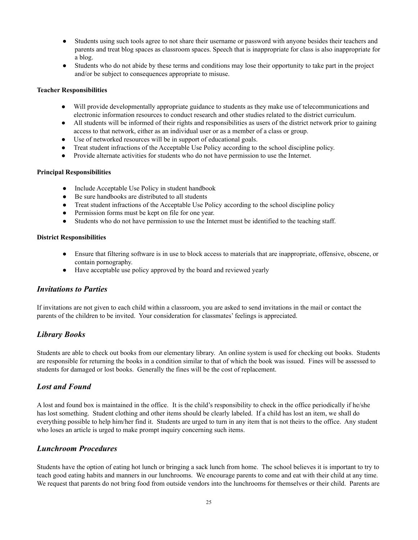- Students using such tools agree to not share their username or password with anyone besides their teachers and parents and treat blog spaces as classroom spaces. Speech that is inappropriate for class is also inappropriate for a blog.
- Students who do not abide by these terms and conditions may lose their opportunity to take part in the project and/or be subject to consequences appropriate to misuse.

#### **Teacher Responsibilities**

- Will provide developmentally appropriate guidance to students as they make use of telecommunications and electronic information resources to conduct research and other studies related to the district curriculum.
- All students will be informed of their rights and responsibilities as users of the district network prior to gaining access to that network, either as an individual user or as a member of a class or group.
- Use of networked resources will be in support of educational goals.
- Treat student infractions of the Acceptable Use Policy according to the school discipline policy.
- Provide alternate activities for students who do not have permission to use the Internet.

#### **Principal Responsibilities**

- Include Acceptable Use Policy in student handbook
- Be sure handbooks are distributed to all students
- Treat student infractions of the Acceptable Use Policy according to the school discipline policy
- Permission forms must be kept on file for one year.
- Students who do not have permission to use the Internet must be identified to the teaching staff.

#### **District Responsibilities**

- Ensure that filtering software is in use to block access to materials that are inappropriate, offensive, obscene, or contain pornography.
- Have acceptable use policy approved by the board and reviewed yearly

#### *Invitations to Parties*

If invitations are not given to each child within a classroom, you are asked to send invitations in the mail or contact the parents of the children to be invited. Your consideration for classmates' feelings is appreciated.

#### *Library Books*

Students are able to check out books from our elementary library. An online system is used for checking out books. Students are responsible for returning the books in a condition similar to that of which the book was issued. Fines will be assessed to students for damaged or lost books. Generally the fines will be the cost of replacement.

#### *Lost and Found*

A lost and found box is maintained in the office. It is the child's responsibility to check in the office periodically if he/she has lost something. Student clothing and other items should be clearly labeled. If a child has lost an item, we shall do everything possible to help him/her find it. Students are urged to turn in any item that is not theirs to the office. Any student who loses an article is urged to make prompt inquiry concerning such items.

#### *Lunchroom Procedures*

Students have the option of eating hot lunch or bringing a sack lunch from home. The school believes it is important to try to teach good eating habits and manners in our lunchrooms. We encourage parents to come and eat with their child at any time. We request that parents do not bring food from outside vendors into the lunchrooms for themselves or their child. Parents are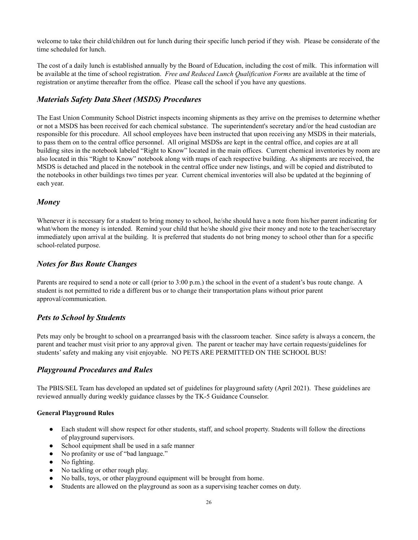welcome to take their child/children out for lunch during their specific lunch period if they wish. Please be considerate of the time scheduled for lunch.

The cost of a daily lunch is established annually by the Board of Education, including the cost of milk. This information will be available at the time of school registration. *Free and Reduced Lunch Qualification Forms* are available at the time of registration or anytime thereafter from the office. Please call the school if you have any questions.

#### *Materials Safety Data Sheet (MSDS) Procedures*

The East Union Community School District inspects incoming shipments as they arrive on the premises to determine whether or not a MSDS has been received for each chemical substance. The superintendent's secretary and/or the head custodian are responsible for this procedure. All school employees have been instructed that upon receiving any MSDS in their materials, to pass them on to the central office personnel. All original MSDSs are kept in the central office, and copies are at all building sites in the notebook labeled "Right to Know" located in the main offices. Current chemical inventories by room are also located in this "Right to Know" notebook along with maps of each respective building. As shipments are received, the MSDS is detached and placed in the notebook in the central office under new listings, and will be copied and distributed to the notebooks in other buildings two times per year. Current chemical inventories will also be updated at the beginning of each year.

#### *Money*

Whenever it is necessary for a student to bring money to school, he/she should have a note from his/her parent indicating for what/whom the money is intended. Remind your child that he/she should give their money and note to the teacher/secretary immediately upon arrival at the building. It is preferred that students do not bring money to school other than for a specific school-related purpose.

#### *Notes for Bus Route Changes*

Parents are required to send a note or call (prior to 3:00 p.m.) the school in the event of a student's bus route change. A student is not permitted to ride a different bus or to change their transportation plans without prior parent approval/communication.

#### *Pets to School by Students*

Pets may only be brought to school on a prearranged basis with the classroom teacher. Since safety is always a concern, the parent and teacher must visit prior to any approval given. The parent or teacher may have certain requests/guidelines for students'safety and making any visit enjoyable. NO PETS ARE PERMITTED ON THE SCHOOL BUS!

#### *Playground Procedures and Rules*

The PBIS/SEL Team has developed an updated set of guidelines for playground safety (April 2021). These guidelines are reviewed annually during weekly guidance classes by the TK-5 Guidance Counselor.

#### **General Playground Rules**

- Each student will show respect for other students, staff, and school property. Students will follow the directions of playground supervisors.
- School equipment shall be used in a safe manner
- No profanity or use of "bad language."
- No fighting.
- No tackling or other rough play.
- No balls, toys, or other playground equipment will be brought from home.
- Students are allowed on the playground as soon as a supervising teacher comes on duty.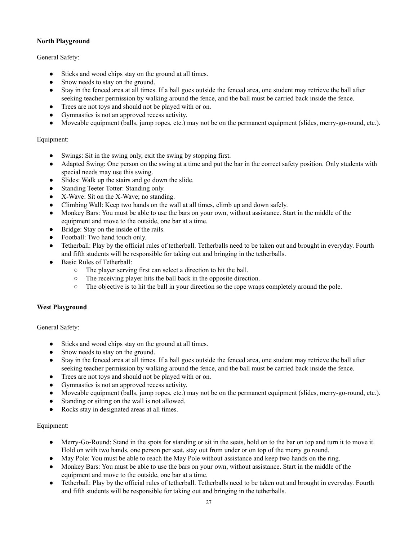#### **North Playground**

#### General Safety:

- Sticks and wood chips stay on the ground at all times.
- Snow needs to stay on the ground.
- Stay in the fenced area at all times. If a ball goes outside the fenced area, one student may retrieve the ball after seeking teacher permission by walking around the fence, and the ball must be carried back inside the fence.
- Trees are not toys and should not be played with or on.
- Gymnastics is not an approved recess activity.
- Moveable equipment (balls, jump ropes, etc.) may not be on the permanent equipment (slides, merry-go-round, etc.).

#### Equipment:

- Swings: Sit in the swing only, exit the swing by stopping first.
- Adapted Swing: One person on the swing at a time and put the bar in the correct safety position. Only students with special needs may use this swing.
- Slides: Walk up the stairs and go down the slide.
- Standing Teeter Totter: Standing only.
- X-Wave: Sit on the X-Wave; no standing.
- Climbing Wall: Keep two hands on the wall at all times, climb up and down safely.
- Monkey Bars: You must be able to use the bars on your own, without assistance. Start in the middle of the equipment and move to the outside, one bar at a time.
- Bridge: Stay on the inside of the rails.
- Football: Two hand touch only.
- Tetherball: Play by the official rules of tetherball. Tetherballs need to be taken out and brought in everyday. Fourth and fifth students will be responsible for taking out and bringing in the tetherballs.
- Basic Rules of Tetherball:
	- The player serving first can select a direction to hit the ball.
	- The receiving player hits the ball back in the opposite direction.
	- The objective is to hit the ball in your direction so the rope wraps completely around the pole.

#### **West Playground**

#### General Safety:

- Sticks and wood chips stay on the ground at all times.
- Snow needs to stay on the ground.
- Stay in the fenced area at all times. If a ball goes outside the fenced area, one student may retrieve the ball after seeking teacher permission by walking around the fence, and the ball must be carried back inside the fence.
- Trees are not toys and should not be played with or on.
- Gymnastics is not an approved recess activity.
- Moveable equipment (balls, jump ropes, etc.) may not be on the permanent equipment (slides, merry-go-round, etc.).
- Standing or sitting on the wall is not allowed.
- Rocks stay in designated areas at all times.

#### Equipment:

- Merry-Go-Round: Stand in the spots for standing or sit in the seats, hold on to the bar on top and turn it to move it. Hold on with two hands, one person per seat, stay out from under or on top of the merry go round.
- May Pole: You must be able to reach the May Pole without assistance and keep two hands on the ring.
- Monkey Bars: You must be able to use the bars on your own, without assistance. Start in the middle of the equipment and move to the outside, one bar at a time.
- Tetherball: Play by the official rules of tetherball. Tetherballs need to be taken out and brought in everyday. Fourth and fifth students will be responsible for taking out and bringing in the tetherballs.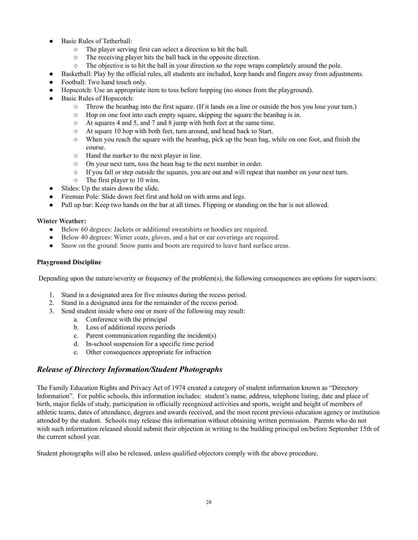- Basic Rules of Tetherball:
	- The player serving first can select a direction to hit the ball.
	- The receiving player hits the ball back in the opposite direction.
	- The objective is to hit the ball in your direction so the rope wraps completely around the pole.
- Basketball: Play by the official rules, all students are included, keep hands and fingers away from adjustments.
- Football: Two hand touch only.
- Hopscotch: Use an appropriate item to toss before hopping (no stones from the playground).
- Basic Rules of Hopscotch:
	- Throw the beanbag into the first square. (If it lands on a line or outside the box you lose your turn.)
	- Hop on one foot into each empty square, skipping the square the beanbag is in.
	- At squares 4 and 5, and 7 and 8 jump with both feet at the same time.
	- At square 10 hop with both feet, turn around, and head back to Start.
	- When you reach the square with the beanbag, pick up the bean bag, while on one foot, and finish the course.
	- Hand the marker to the next player in line.
	- On your next turn, toss the bean bag to the next number in order.
	- If you fall or step outside the squares, you are out and will repeat that number on your next turn.
	- The first player to 10 wins.
- Slides: Up the stairs down the slide.
- Fireman Pole: Slide down feet first and hold on with arms and legs.
- Pull up bar: Keep two hands on the bar at all times. Flipping or standing on the bar is not allowed.

#### **Winter Weather:**

- Below 60 degrees: Jackets or additional sweatshirts or hoodies are required.
- Below 40 degrees: Winter coats, gloves, and a hat or ear coverings are required.
- Snow on the ground: Snow pants and boots are required to leave hard surface areas.

#### **Playground Discipline**

Depending upon the nature/severity or frequency of the problem(s), the following consequences are options for supervisors:

- 1. Stand in a designated area for five minutes during the recess period.
- 2. Stand in a designated area for the remainder of the recess period.
- 3. Send student inside where one or more of the following may result:
	- a. Conference with the principal
	- b. Loss of additional recess periods
	- c. Parent communication regarding the incident(s)
	- d. In-school suspension for a specific time period
	- e. Other consequences appropriate for infraction

#### *Release of Directory Information/Student Photographs*

The Family Education Rights and Privacy Act of 1974 created a category of student information known as "Directory Information". For public schools, this information includes: student's name, address, telephone listing, date and place of birth, major fields of study, participation in officially recognized activities and sports, weight and height of members of athletic teams, dates of attendance, degrees and awards received, and the most recent previous education agency or institution attended by the student. Schools may release this information without obtaining written permission. Parents who do not wish such information released should submit their objection in writing to the building principal on/before September 15th of the current school year.

Student photographs will also be released, unless qualified objectors comply with the above procedure.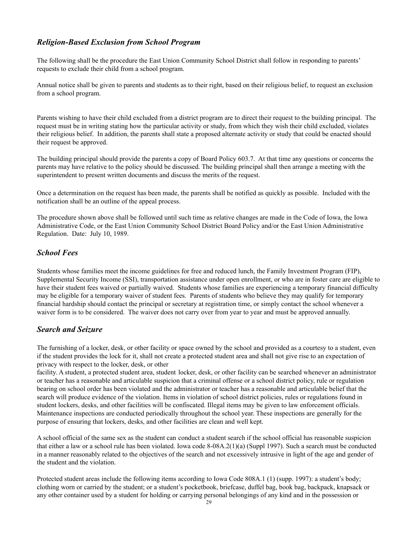#### *Religion-Based Exclusion from School Program*

The following shall be the procedure the East Union Community School District shall follow in responding to parents' requests to exclude their child from a school program.

Annual notice shall be given to parents and students as to their right, based on their religious belief, to request an exclusion from a school program.

Parents wishing to have their child excluded from a district program are to direct their request to the building principal. The request must be in writing stating how the particular activity or study, from which they wish their child excluded, violates their religious belief. In addition, the parents shall state a proposed alternate activity or study that could be enacted should their request be approved.

The building principal should provide the parents a copy of Board Policy 603.7. At that time any questions or concerns the parents may have relative to the policy should be discussed. The building principal shall then arrange a meeting with the superintendent to present written documents and discuss the merits of the request.

Once a determination on the request has been made, the parents shall be notified as quickly as possible. Included with the notification shall be an outline of the appeal process.

The procedure shown above shall be followed until such time as relative changes are made in the Code of Iowa, the Iowa Administrative Code, or the East Union Community School District Board Policy and/or the East Union Administrative Regulation. Date: July 10, 1989.

#### *School Fees*

Students whose families meet the income guidelines for free and reduced lunch, the Family Investment Program (FIP), Supplemental Security Income (SSI), transportation assistance under open enrollment, or who are in foster care are eligible to have their student fees waived or partially waived. Students whose families are experiencing a temporary financial difficulty may be eligible for a temporary waiver of student fees. Parents of students who believe they may qualify for temporary financial hardship should contact the principal or secretary at registration time, or simply contact the school whenever a waiver form is to be considered. The waiver does not carry over from year to year and must be approved annually.

#### *Search and Seizure*

The furnishing of a locker, desk, or other facility or space owned by the school and provided as a courtesy to a student, even if the student provides the lock for it, shall not create a protected student area and shall not give rise to an expectation of privacy with respect to the locker, desk, or other

facility. A student, a protected student area, student locker, desk, or other facility can be searched whenever an administrator or teacher has a reasonable and articulable suspicion that a criminal offense or a school district policy, rule or regulation bearing on school order has been violated and the administrator or teacher has a reasonable and articulable belief that the search will produce evidence of the violation. Items in violation of school district policies, rules or regulations found in student lockers, desks, and other facilities will be confiscated. Illegal items may be given to law enforcement officials. Maintenance inspections are conducted periodically throughout the school year. These inspections are generally for the purpose of ensuring that lockers, desks, and other facilities are clean and well kept.

A school official of the same sex as the student can conduct a student search if the school official has reasonable suspicion that either a law or a school rule has been violated. Iowa code 8-08A.2(1)(a) (Suppl 1997). Such a search must be conducted in a manner reasonably related to the objectives of the search and not excessively intrusive in light of the age and gender of the student and the violation.

Protected student areas include the following items according to Iowa Code 808A.1 (1) (supp. 1997): a student's body; clothing worn or carried by the student; or a student's pocketbook, briefcase, duffel bag, book bag, backpack, knapsack or any other container used by a student for holding or carrying personal belongings of any kind and in the possession or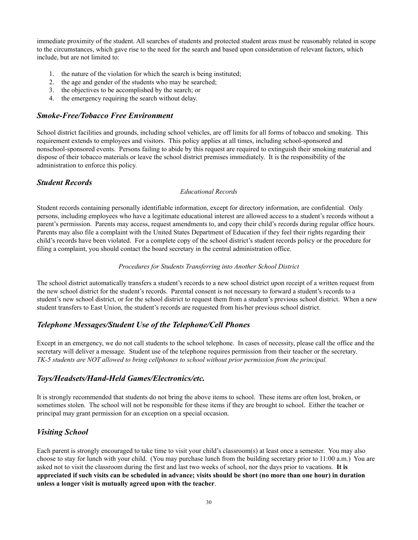immediate proximity of the student. All searches of students and protected student areas must be reasonably related in scope to the circumstances, which gave rise to the need for the search and based upon consideration of relevant factors, which include, but are not limited to:

- 1. the nature of the violation for which the search is being instituted;
- 2. the age and gender of the students who may be searched;
- 3. the objectives to be accomplished by the search; or
- 4. the emergency requiring the search without delay.

#### *Smoke-Free/Tobacco Free Environment*

School district facilities and grounds, including school vehicles, are off limits for all forms of tobacco and smoking. This requirement extends to employees and visitors. This policy applies at all times, including school-sponsored and nonschool-sponsored events. Persons failing to abide by this request are required to extinguish their smoking material and dispose of their tobacco materials or leave the school district premises immediately. It is the responsibility of the administration to enforce this policy.

#### *Student Records*

#### *Educational Records*

Student records containing personally identifiable information, except for directory information, are confidential. Only persons, including employees who have a legitimate educational interest are allowed access to a student's records without a parent's permission. Parents may access, request amendments to, and copy their child's records during regular office hours. Parents may also file a complaint with the United States Department of Education if they feel their rights regarding their child's records have been violated. For a complete copy of the school district's student records policy or the procedure for filing a complaint, you should contact the board secretary in the central administration office.

#### *Procedures for Students Transferring into Another School District*

The school district automatically transfers a student's records to a new school district upon receipt of a written request from the new school district for the student's records. Parental consent is not necessary to forward a student's records to a student's new school district, or for the school district to request them from a student's previous school district. When a new student transfers to East Union, the student's records are requested from his/her previous school district.

#### *Telephone Messages/Student Use of the Telephone/Cell Phones*

Except in an emergency, we do not call students to the school telephone. In cases of necessity, please call the office and the secretary will deliver a message. Student use of the telephone requires permission from their teacher or the secretary. *TK-5 students are NOT allowed to bring cellphones to school without prior permission from the principal.*

#### *Toys/Headsets/Hand-Held Games/Electronics/etc.*

It is strongly recommended that students do not bring the above items to school. These items are often lost, broken, or sometimes stolen. The school will not be responsible for these items if they are brought to school. Either the teacher or principal may grant permission for an exception on a special occasion.

#### *Visiting School*

Each parent is strongly encouraged to take time to visit your child's classroom(s) at least once a semester. You may also choose to stay for lunch with your child. (You may purchase lunch from the building secretary prior to 11:00 a.m.) You are asked not to visit the classroom during the first and last two weeks of school, nor the days prior to vacations. **It is** appreciated if such visits can be scheduled in advance; visits should be short (no more than one hour) in duration **unless a longer visit is mutually agreed upon with the teacher**.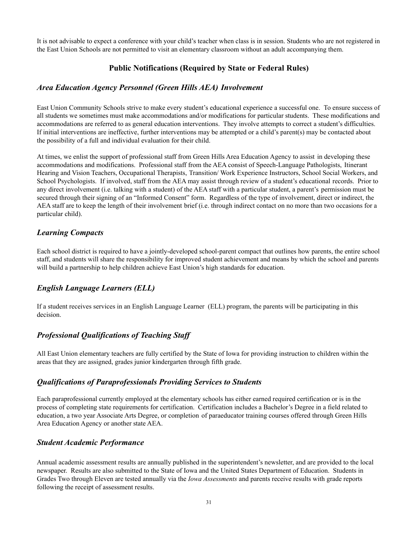It is not advisable to expect a conference with your child's teacher when class is in session. Students who are not registered in the East Union Schools are not permitted to visit an elementary classroom without an adult accompanying them.

#### **Public Notifications (Required by State or Federal Rules)**

#### *Area Education Agency Personnel (Green Hills AEA) Involvement*

East Union Community Schools strive to make every student's educational experience a successful one. To ensure success of all students we sometimes must make accommodations and/or modifications for particular students. These modifications and accommodations are referred to as general education interventions. They involve attempts to correct a student's difficulties. If initial interventions are ineffective, further interventions may be attempted or a child's parent(s) may be contacted about the possibility of a full and individual evaluation for their child.

At times, we enlist the support of professional staff from Green Hills Area Education Agency to assist in developing these accommodations and modifications. Professional staff from the AEA consist of Speech-Language Pathologists, Itinerant Hearing and Vision Teachers, Occupational Therapists, Transition/ Work Experience Instructors, School Social Workers, and School Psychologists. If involved, staff from the AEA may assist through review of a student's educational records. Prior to any direct involvement (i.e. talking with a student) of the AEA staff with a particular student, a parent's permission must be secured through their signing of an "Informed Consent" form. Regardless of the type of involvement, direct or indirect, the AEA staff are to keep the length of their involvement brief (i.e. through indirect contact on no more than two occasions for a particular child).

#### *Learning Compacts*

Each school district is required to have a jointly-developed school-parent compact that outlines how parents, the entire school staff, and students will share the responsibility for improved student achievement and means by which the school and parents will build a partnership to help children achieve East Union's high standards for education.

#### *English Language Learners (ELL)*

If a student receives services in an English Language Learner (ELL) program, the parents will be participating in this decision.

#### *Professional Qualifications of Teaching Staff*

All East Union elementary teachers are fully certified by the State of Iowa for providing instruction to children within the areas that they are assigned, grades junior kindergarten through fifth grade.

#### *Qualifications of Paraprofessionals Providing Services to Students*

Each paraprofessional currently employed at the elementary schools has either earned required certification or is in the process of completing state requirements for certification. Certification includes a Bachelor's Degree in a field related to education, a two year Associate Arts Degree, or completion of paraeducator training courses offered through Green Hills Area Education Agency or another state AEA.

#### *Student Academic Performance*

Annual academic assessment results are annually published in the superintendent's newsletter, and are provided to the local newspaper. Results are also submitted to the State of Iowa and the United States Department of Education. Students in Grades Two through Eleven are tested annually via the *Iowa Assessments* and parents receive results with grade reports following the receipt of assessment results.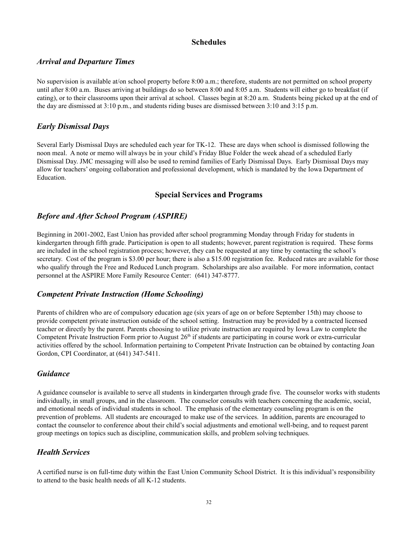#### **Schedules**

#### *Arrival and Departure Times*

No supervision is available at/on school property before 8:00 a.m.; therefore, students are not permitted on school property until after 8:00 a.m. Buses arriving at buildings do so between 8:00 and 8:05 a.m. Students will either go to breakfast (if eating), or to their classrooms upon their arrival at school. Classes begin at 8:20 a.m. Students being picked up at the end of the day are dismissed at 3:10 p.m., and students riding buses are dismissed between 3:10 and 3:15 p.m.

#### *Early Dismissal Days*

Several Early Dismissal Days are scheduled each year for TK-12. These are days when school is dismissed following the noon meal. A note or memo will always be in your child's Friday Blue Folder the week ahead of a scheduled Early Dismissal Day. JMC messaging will also be used to remind families of Early Dismissal Days. Early Dismissal Days may allow for teachers' ongoing collaboration and professional development, which is mandated by the Iowa Department of Education.

#### **Special Services and Programs**

#### *Before and After School Program (ASPIRE)*

Beginning in 2001-2002, East Union has provided after school programming Monday through Friday for students in kindergarten through fifth grade. Participation is open to all students; however, parent registration is required. These forms are included in the school registration process; however, they can be requested at any time by contacting the school's secretary. Cost of the program is \$3.00 per hour; there is also a \$15.00 registration fee. Reduced rates are available for those who qualify through the Free and Reduced Lunch program. Scholarships are also available. For more information, contact personnel at the ASPIRE More Family Resource Center: (641) 347-8777.

#### *Competent Private Instruction (Home Schooling)*

Parents of children who are of compulsory education age (six years of age on or before September 15th) may choose to provide competent private instruction outside of the school setting. Instruction may be provided by a contracted licensed teacher or directly by the parent. Parents choosing to utilize private instruction are required by Iowa Law to complete the Competent Private Instruction Form prior to August  $26<sup>th</sup>$  if students are participating in course work or extra-curricular activities offered by the school. Information pertaining to Competent Private Instruction can be obtained by contacting Joan Gordon, CPI Coordinator, at (641) 347-5411.

#### *Guidance*

A guidance counselor is available to serve all students in kindergarten through grade five. The counselor works with students individually, in small groups, and in the classroom. The counselor consults with teachers concerning the academic, social, and emotional needs of individual students in school. The emphasis of the elementary counseling program is on the prevention of problems. All students are encouraged to make use of the services. In addition, parents are encouraged to contact the counselor to conference about their child's social adjustments and emotional well-being, and to request parent group meetings on topics such as discipline, communication skills, and problem solving techniques.

#### *Health Services*

A certified nurse is on full-time duty within the East Union Community School District. It is this individual's responsibility to attend to the basic health needs of all K-12 students.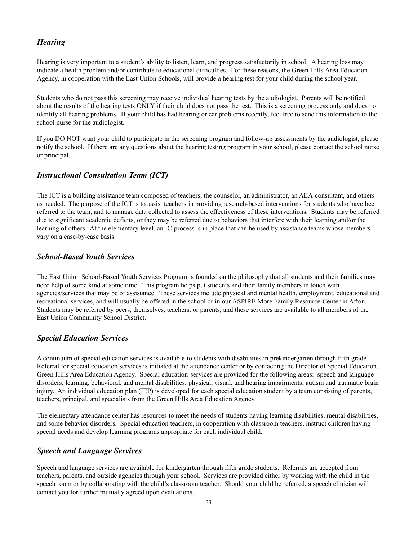#### *Hearing*

Hearing is very important to a student's ability to listen, learn, and progress satisfactorily in school. A hearing loss may indicate a health problem and/or contribute to educational difficulties. For these reasons, the Green Hills Area Education Agency, in cooperation with the East Union Schools, will provide a hearing test for your child during the school year.

Students who do not pass this screening may receive individual hearing tests by the audiologist. Parents will be notified about the results of the hearing tests ONLY if their child does not pass the test. This is a screening process only and does not identify all hearing problems. If your child has had hearing or ear problems recently, feel free to send this information to the school nurse for the audiologist.

If you DO NOT want your child to participate in the screening program and follow-up assessments by the audiologist, please notify the school. If there are any questions about the hearing testing program in your school, please contact the school nurse or principal.

#### *Instructional Consultation Team (ICT)*

The ICT is a building assistance team composed of teachers, the counselor, an administrator, an AEA consultant, and others as needed. The purpose of the ICT is to assist teachers in providing research-based interventions for students who have been referred to the team, and to manage data collected to assess the effectiveness of these interventions. Students may be referred due to significant academic deficits, or they may be referred due to behaviors that interfere with their learning and/or the learning of others. At the elementary level, an IC process is in place that can be used by assistance teams whose members vary on a case-by-case basis.

#### *School-Based Youth Services*

The East Union School-Based Youth Services Program is founded on the philosophy that all students and their families may need help of some kind at some time. This program helps put students and their family members in touch with agencies/services that may be of assistance. These services include physical and mental health, employment, educational and recreational services, and will usually be offered in the school or in our ASPIRE More Family Resource Center in Afton. Students may be referred by peers, themselves, teachers, or parents, and these services are available to all members of the East Union Community School District.

#### *Special Education Services*

A continuum of special education services is available to students with disabilities in prekindergarten through fifth grade. Referral for special education services is initiated at the attendance center or by contacting the Director of Special Education, Green Hills Area Education Agency. Special education services are provided for the following areas: speech and language disorders; learning, behavioral, and mental disabilities; physical, visual, and hearing impairments; autism and traumatic brain injury. An individual education plan (IEP) is developed for each special education student by a team consisting of parents, teachers, principal, and specialists from the Green Hills Area Education Agency.

The elementary attendance center has resources to meet the needs of students having learning disabilities, mental disabilities, and some behavior disorders. Special education teachers, in cooperation with classroom teachers, instruct children having special needs and develop learning programs appropriate for each individual child.

#### *Speech and Language Services*

Speech and language services are available for kindergarten through fifth grade students. Referrals are accepted from teachers, parents, and outside agencies through your school. Services are provided either by working with the child in the speech room or by collaborating with the child's classroom teacher. Should your child be referred, a speech clinician will contact you for further mutually agreed upon evaluations.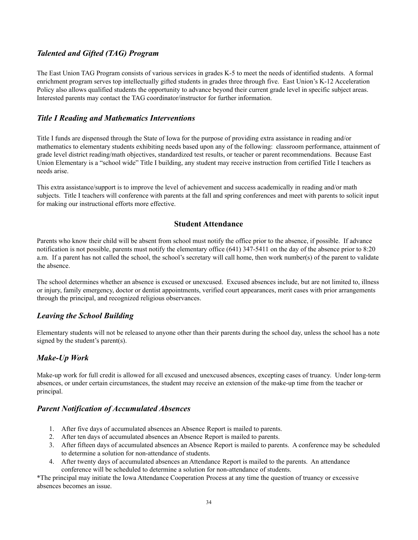#### *Talented and Gifted (TAG) Program*

The East Union TAG Program consists of various services in grades K-5 to meet the needs of identified students. A formal enrichment program serves top intellectually gifted students in grades three through five. East Union's K-12 Acceleration Policy also allows qualified students the opportunity to advance beyond their current grade level in specific subject areas. Interested parents may contact the TAG coordinator/instructor for further information.

#### *Title I Reading and Mathematics Interventions*

Title I funds are dispensed through the State of Iowa for the purpose of providing extra assistance in reading and/or mathematics to elementary students exhibiting needs based upon any of the following: classroom performance, attainment of grade level district reading/math objectives, standardized test results, or teacher or parent recommendations. Because East Union Elementary is a "school wide" Title I building, any student may receive instruction from certified Title I teachers as needs arise.

This extra assistance/support is to improve the level of achievement and success academically in reading and/or math subjects. Title I teachers will conference with parents at the fall and spring conferences and meet with parents to solicit input for making our instructional efforts more effective.

#### **Student Attendance**

Parents who know their child will be absent from school must notify the office prior to the absence, if possible. If advance notification is not possible, parents must notify the elementary office (641) 347-5411 on the day of the absence prior to 8:20 a.m. If a parent has not called the school, the school's secretary will call home, then work number(s) of the parent to validate the absence.

The school determines whether an absence is excused or unexcused. Excused absences include, but are not limited to, illness or injury, family emergency, doctor or dentist appointments, verified court appearances, merit cases with prior arrangements through the principal, and recognized religious observances.

#### *Leaving the School Building*

Elementary students will not be released to anyone other than their parents during the school day, unless the school has a note signed by the student's parent(s).

#### *Make-Up Work*

Make-up work for full credit is allowed for all excused and unexcused absences, excepting cases of truancy. Under long-term absences, or under certain circumstances, the student may receive an extension of the make-up time from the teacher or principal.

#### *Parent Notification of Accumulated Absences*

- 1. After five days of accumulated absences an Absence Report is mailed to parents.
- 2. After ten days of accumulated absences an Absence Report is mailed to parents.
- 3. After fifteen days of accumulated absences an Absence Report is mailed to parents. A conference may be scheduled to determine a solution for non-attendance of students.
- 4. After twenty days of accumulated absences an Attendance Report is mailed to the parents. An attendance conference will be scheduled to determine a solution for non-attendance of students.

\*The principal may initiate the Iowa Attendance Cooperation Process at any time the question of truancy or excessive absences becomes an issue.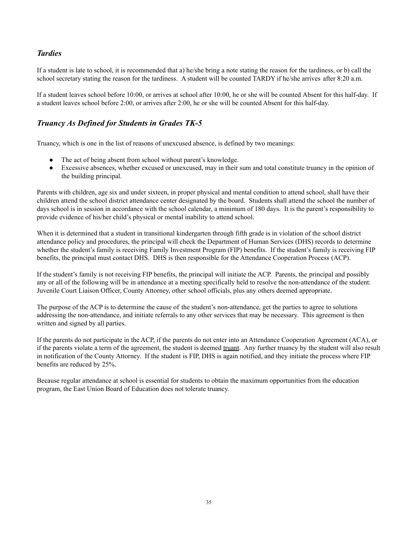#### *Tardies*

If a student is late to school, it is recommended that a) he/she bring a note stating the reason for the tardiness, or b) call the school secretary stating the reason for the tardiness. A student will be counted TARDY if he/she arrives after 8:20 a.m.

If a student leaves school before 10:00, or arrives at school after 10:00, he or she will be counted Absent for this half-day. If a student leaves school before 2:00, or arrives after 2:00, he or she will be counted Absent for this half-day.

#### *Truancy As Defined for Students in Grades TK-5*

Truancy, which is one in the list of reasons of unexcused absence, is defined by two meanings:

- The act of being absent from school without parent's knowledge.
- Excessive absences, whether excused or unexcused, may in their sum and total constitute truancy in the opinion of the building principal.

Parents with children, age six and under sixteen, in proper physical and mental condition to attend school, shall have their children attend the school district attendance center designated by the board. Students shall attend the school the number of days school is in session in accordance with the school calendar, a minimum of 180 days. It is the parent's responsibility to provide evidence of his/her child's physical or mental inability to attend school.

When it is determined that a student in transitional kindergarten through fifth grade is in violation of the school district attendance policy and procedures, the principal will check the Department of Human Services (DHS) records to determine whether the student's family is receiving Family Investment Program (FIP) benefits. If the student's family is receiving FIP benefits, the principal must contact DHS. DHS is then responsible for the Attendance Cooperation Process (ACP).

If the student's family is not receiving FIP benefits, the principal will initiate the ACP. Parents, the principal and possibly any or all of the following will be in attendance at a meeting specifically held to resolve the non-attendance of the student: Juvenile Court Liaison Officer, County Attorney, other school officials, plus any others deemed appropriate.

The purpose of the ACP is to determine the cause of the student's non-attendance, get the parties to agree to solutions addressing the non-attendance, and initiate referrals to any other services that may be necessary. This agreement is then written and signed by all parties.

If the parents do not participate in the ACP, if the parents do not enter into an Attendance Cooperation Agreement (ACA), or if the parents violate a term of the agreement, the student is deemed truant. Any further truancy by the student will also result in notification of the County Attorney. If the student is FIP, DHS is again notified, and they initiate the process where FIP benefits are reduced by 25%.

Because regular attendance at school is essential for students to obtain the maximum opportunities from the education program, the East Union Board of Education does not tolerate truancy.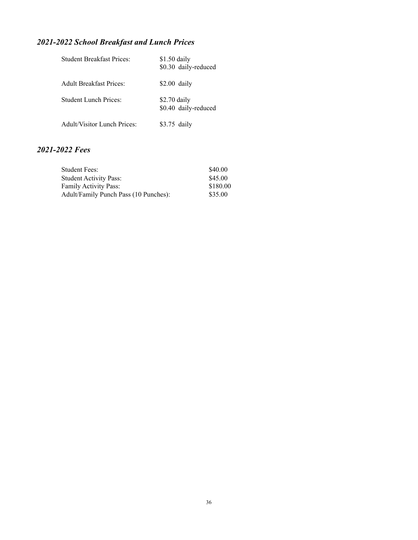## *2021-2022 School Breakfast and Lunch Prices*

| <b>Student Breakfast Prices:</b>   | $$1.50$ daily<br>\$0.30 daily-reduced |
|------------------------------------|---------------------------------------|
| <b>Adult Breakfast Prices:</b>     | $$2.00$ daily                         |
| <b>Student Lunch Prices:</b>       | $$2.70$ daily<br>\$0.40 daily-reduced |
| <b>Adult/Visitor Lunch Prices:</b> | $$3.75$ daily                         |

### *2021-2022 Fees*

| Student Fees:                         | \$40.00  |
|---------------------------------------|----------|
| Student Activity Pass:                | \$45.00  |
| <b>Family Activity Pass:</b>          | \$180.00 |
| Adult/Family Punch Pass (10 Punches): | \$35.00  |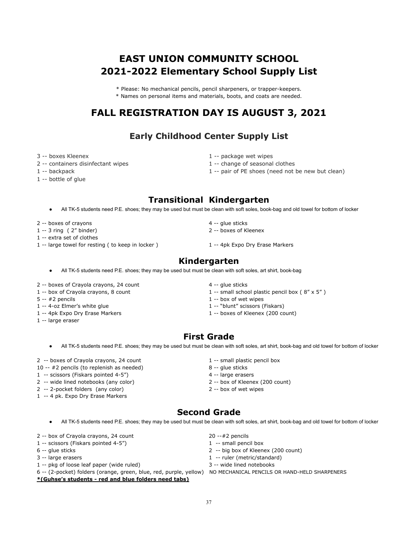## **EAST UNION COMMUNITY SCHOOL 2021-2022 Elementary School Supply List**

\* Please: No mechanical pencils, pencil sharpeners, or trapper-keepers.

\* Names on personal items and materials, boots, and coats are needed.

## **FALL REGISTRATION DAY IS AUGUST 3, 2021**

## **Early Childhood Center Supply List**

- 
- 2 -- containers disinfectant wipes 1 -- change of seasonal clothes
- 
- 1 -- bottle of glue
- 3 -- boxes Kleenex 1 -- package wet wipes
	-
- 1 -- backpack 1 -- pair of PE shoes (need not be new but clean)

## **Transitional Kindergarten**

- All TK-5 students need P.E. shoes; they may be used but must be clean with soft soles, book-bag and old towel for bottom of locker
- 
- 1 -- 3 ring ( 2" binder) 2 -- boxes of Kleenex
- 1 -- extra set of clothes
- 1 -- large towel for resting ( to keep in locker ) 1 -- 4pk Expo Dry Erase Markers
- -

#### **Kindergarten**

- All TK-5 students need P.E. shoes; they may be used but must be clean with soft soles, art shirt, book-bag
- 2 -- boxes of Crayola crayons, 24 count 4 -- glue sticks
- 
- 
- 1 -- 4-oz Elmer's white glue 1 -- "blunt" scissors (Fiskars)
- 
- 1 -- large eraser
- 
- 1 -- box of Crayola crayons, 8 count 1 -- small school plastic pencil box (8" x 5")
- $5 2$  pencils  $1 2$  box of wet wipes
	-
- 1 -- 4pk Expo Dry Erase Markers 1 -- boxes of Kleenex (200 count)

## **First Grade**

- All TK-5 students need P.E. shoes; they may be used but must be clean with soft soles, art shirt, book-bag and old towel for bottom of locker
- 2 -- boxes of Crayola crayons, 24 count 1 -- small plastic pencil box
- 10 -- #2 pencils (to replenish as needed) 8 -- glue sticks
- 1 -- scissors (Fiskars pointed 4-5") 4 -- large erasers
- 2 -- wide lined notebooks (any color) 2 -- box of Kleenex (200 count)
- 2 -- 2-pocket folders (any color) 2 -- box of wet wipes
- 1 -- 4 pk. Expo Dry Erase Markers
- 
- 
- 
- 
- 

## **Second Grade**

● All TK-5 students need P.E. shoes; they may be used but must be clean with soft soles, art shirt, book-bag and old towel for bottom of locker

- 2 -- box of Crayola crayons, 24 count 20 --  $\#2$  pencils
- 1 -- scissors (Fiskars pointed 4-5") 1 -- small pencil box
- 
- 
- 1 -- pkg of loose leaf paper (wide ruled) 3 -- wide lined notebooks
- **\*(Guhse's students red and blue folders need tabs)**
- 
- 
- 6 -- glue sticks 2 -- big box of Kleenex (200 count)
- 3 -- large erasers and the state of the state of the state of the state of the state of the state of the state of the state of the state of the state of the state of the state of the state of the state of the state of the
	-
- 6 -- (2-pocket) folders (orange, green, blue, red, purple, yellow) NO MECHANICAL PENCILS OR HAND-HELD SHARPENERS
- 
- -
- 
- 
- 
- 
- 2 -- boxes of crayons 2 --  $\frac{1}{2}$  -- glue sticks